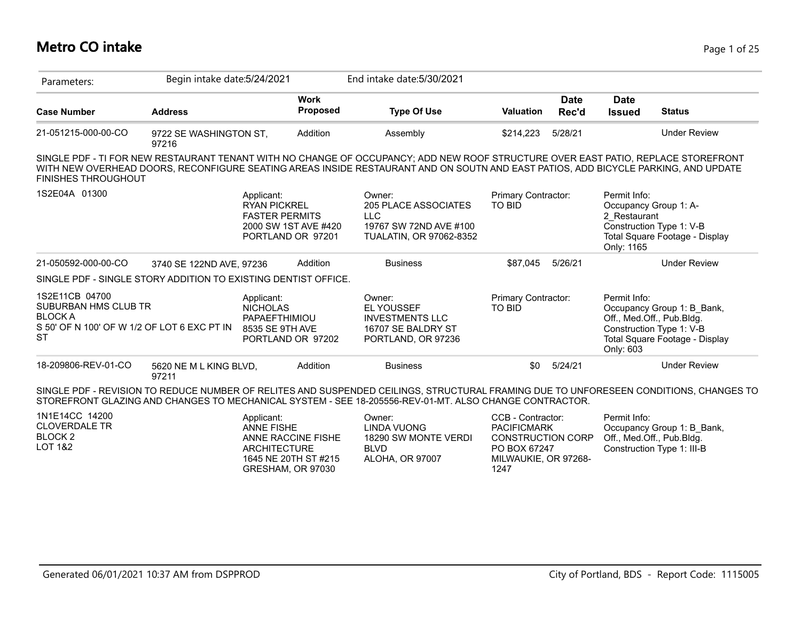#### **Metro CO intake** Page 1 of 25

| Parameters:                                                                                                          | Begin intake date: 5/24/2021    |                                                                                 |                                            | End intake date: 5/30/2021                                                                                                                                                                                                                                              |                                                                                                                     |                      |                                            |                                                                                                                       |
|----------------------------------------------------------------------------------------------------------------------|---------------------------------|---------------------------------------------------------------------------------|--------------------------------------------|-------------------------------------------------------------------------------------------------------------------------------------------------------------------------------------------------------------------------------------------------------------------------|---------------------------------------------------------------------------------------------------------------------|----------------------|--------------------------------------------|-----------------------------------------------------------------------------------------------------------------------|
| <b>Case Number</b>                                                                                                   | <b>Address</b>                  |                                                                                 | <b>Work</b><br>Proposed                    | <b>Type Of Use</b>                                                                                                                                                                                                                                                      | <b>Valuation</b>                                                                                                    | <b>Date</b><br>Rec'd | <b>Date</b><br><b>Issued</b>               | <b>Status</b>                                                                                                         |
| 21-051215-000-00-CO                                                                                                  | 9722 SE WASHINGTON ST,<br>97216 |                                                                                 | Addition                                   | Assembly                                                                                                                                                                                                                                                                | \$214,223                                                                                                           | 5/28/21              |                                            | <b>Under Review</b>                                                                                                   |
| <b>FINISHES THROUGHOUT</b>                                                                                           |                                 |                                                                                 |                                            | SINGLE PDF - TI FOR NEW RESTAURANT TENANT WITH NO CHANGE OF OCCUPANCY; ADD NEW ROOF STRUCTURE OVER EAST PATIO, REPLACE STOREFRONT<br>WITH NEW OVERHEAD DOORS, RECONFIGURE SEATING AREAS INSIDE RESTAURANT AND ON SOUTN AND EAST PATIOS, ADD BICYCLE PARKING, AND UPDATE |                                                                                                                     |                      |                                            |                                                                                                                       |
| 1S2E04A 01300                                                                                                        |                                 | Applicant:<br><b>RYAN PICKREL</b><br><b>FASTER PERMITS</b><br>PORTLAND OR 97201 | 2000 SW 1ST AVE #420                       | Owner:<br><b>205 PLACE ASSOCIATES</b><br><b>LLC</b><br>19767 SW 72ND AVE #100<br><b>TUALATIN, OR 97062-8352</b>                                                                                                                                                         | Primary Contractor:<br><b>TO BID</b>                                                                                |                      | Permit Info:<br>2 Restaurant<br>Only: 1165 | Occupancy Group 1: A-<br>Construction Type 1: V-B<br>Total Square Footage - Display                                   |
| 21-050592-000-00-CO                                                                                                  | 3740 SE 122ND AVE, 97236        |                                                                                 | Addition                                   | <b>Business</b>                                                                                                                                                                                                                                                         | \$87,045                                                                                                            | 5/26/21              |                                            | <b>Under Review</b>                                                                                                   |
| SINGLE PDF - SINGLE STORY ADDITION TO EXISTING DENTIST OFFICE.                                                       |                                 |                                                                                 |                                            |                                                                                                                                                                                                                                                                         |                                                                                                                     |                      |                                            |                                                                                                                       |
| 1S2E11CB 04700<br>SUBURBAN HMS CLUB TR<br><b>BLOCK A</b><br>S 50' OF N 100' OF W 1/2 OF LOT 6 EXC PT IN<br><b>ST</b> |                                 | Applicant:<br><b>NICHOLAS</b><br>PAPAEFTHIMIOU<br>8535 SE 9TH AVE               | PORTLAND OR 97202                          | Owner:<br><b>EL YOUSSEF</b><br><b>INVESTMENTS LLC</b><br>16707 SE BALDRY ST<br>PORTLAND, OR 97236                                                                                                                                                                       | Primary Contractor:<br><b>TO BID</b>                                                                                |                      | Permit Info:<br>Only: 603                  | Occupancy Group 1: B Bank,<br>Off., Med.Off., Pub.Bldg.<br>Construction Type 1: V-B<br>Total Square Footage - Display |
| 18-209806-REV-01-CO                                                                                                  | 5620 NE M L KING BLVD,<br>97211 |                                                                                 | Addition                                   | <b>Business</b>                                                                                                                                                                                                                                                         | \$0                                                                                                                 | 5/24/21              |                                            | <b>Under Review</b>                                                                                                   |
|                                                                                                                      |                                 |                                                                                 |                                            | SINGLE PDF - REVISION TO REDUCE NUMBER OF RELITES AND SUSPENDED CEILINGS, STRUCTURAL FRAMING DUE TO UNFORESEEN CONDITIONS, CHANGES TO<br>STOREFRONT GLAZING AND CHANGES TO MECHANICAL SYSTEM - SEE 18-205556-REV-01-MT. ALSO CHANGE CONTRACTOR.                         |                                                                                                                     |                      |                                            |                                                                                                                       |
| 1N1E14CC 14200<br><b>CLOVERDALE TR</b><br>BLOCK <sub>2</sub><br><b>LOT 1&amp;2</b>                                   |                                 | Applicant:<br><b>ANNE FISHE</b><br><b>ARCHITECTURE</b><br>GRESHAM, OR 97030     | ANNE RACCINE FISHE<br>1645 NE 20TH ST #215 | Owner:<br><b>LINDA VUONG</b><br>18290 SW MONTE VERDI<br><b>BLVD</b><br>ALOHA, OR 97007                                                                                                                                                                                  | CCB - Contractor:<br><b>PACIFICMARK</b><br><b>CONSTRUCTION CORP</b><br>PO BOX 67247<br>MILWAUKIE, OR 97268-<br>1247 |                      | Permit Info:                               | Occupancy Group 1: B Bank,<br>Off., Med.Off., Pub.Bldg.<br>Construction Type 1: III-B                                 |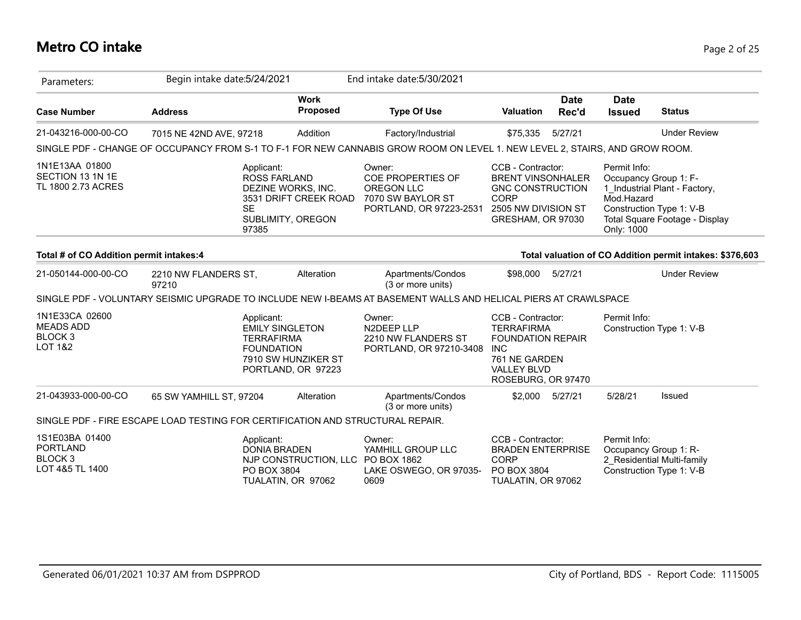## **Metro CO intake** Page 2 of 25

| Parameters:                                                                    | Begin intake date: 5/24/2021  |                                                                                                    |                                           | End intake date: 5/30/2021                                                                                                  |                                                                                                                                               |                      |                                                                   |                                                                                             |
|--------------------------------------------------------------------------------|-------------------------------|----------------------------------------------------------------------------------------------------|-------------------------------------------|-----------------------------------------------------------------------------------------------------------------------------|-----------------------------------------------------------------------------------------------------------------------------------------------|----------------------|-------------------------------------------------------------------|---------------------------------------------------------------------------------------------|
| <b>Case Number</b>                                                             | <b>Address</b>                |                                                                                                    | <b>Work</b><br><b>Proposed</b>            | <b>Type Of Use</b>                                                                                                          | <b>Valuation</b>                                                                                                                              | <b>Date</b><br>Rec'd | <b>Date</b><br><b>Issued</b>                                      | <b>Status</b>                                                                               |
| 21-043216-000-00-CO                                                            | 7015 NE 42ND AVE, 97218       |                                                                                                    | Addition                                  | Factory/Industrial                                                                                                          | \$75,335                                                                                                                                      | 5/27/21              |                                                                   | <b>Under Review</b>                                                                         |
|                                                                                |                               |                                                                                                    |                                           | SINGLE PDF - CHANGE OF OCCUPANCY FROM S-1 TO F-1 FOR NEW CANNABIS GROW ROOM ON LEVEL 1. NEW LEVEL 2, STAIRS, AND GROW ROOM. |                                                                                                                                               |                      |                                                                   |                                                                                             |
| 1N1E13AA 01800<br>SECTION 13 1N 1E<br>TL 1800 2.73 ACRES                       |                               | Applicant:<br><b>ROSS FARLAND</b><br>DEZINE WORKS, INC.<br><b>SE</b><br>SUBLIMITY, OREGON<br>97385 | 3531 DRIFT CREEK ROAD                     | Owner:<br>COE PROPERTIES OF<br>OREGON LLC<br>7070 SW BAYLOR ST<br>PORTLAND, OR 97223-2531                                   | CCB - Contractor:<br><b>BRENT VINSONHALER</b><br><b>GNC CONSTRUCTION</b><br><b>CORP</b><br>2505 NW DIVISION ST<br>GRESHAM, OR 97030           |                      | Permit Info:<br>Occupancy Group 1: F-<br>Mod.Hazard<br>Only: 1000 | 1 Industrial Plant - Factory,<br>Construction Type 1: V-B<br>Total Square Footage - Display |
| Total # of CO Addition permit intakes:4                                        |                               |                                                                                                    |                                           |                                                                                                                             |                                                                                                                                               |                      |                                                                   | Total valuation of CO Addition permit intakes: \$376,603                                    |
| 21-050144-000-00-CO                                                            | 2210 NW FLANDERS ST,<br>97210 |                                                                                                    | Alteration                                | Apartments/Condos<br>(3 or more units)                                                                                      | \$98,000                                                                                                                                      | 5/27/21              |                                                                   | <b>Under Review</b>                                                                         |
|                                                                                |                               |                                                                                                    |                                           | SINGLE PDF - VOLUNTARY SEISMIC UPGRADE TO INCLUDE NEW I-BEAMS AT BASEMENT WALLS AND HELICAL PIERS AT CRAWLSPACE             |                                                                                                                                               |                      |                                                                   |                                                                                             |
| 1N1E33CA 02600<br><b>MEADS ADD</b><br><b>BLOCK3</b><br><b>LOT 1&amp;2</b>      |                               | Applicant:<br><b>EMILY SINGLETON</b><br><b>TERRAFIRMA</b><br><b>FOUNDATION</b>                     | 7910 SW HUNZIKER ST<br>PORTLAND, OR 97223 | Owner:<br>N2DEEP LLP<br>2210 NW FLANDERS ST<br>PORTLAND, OR 97210-3408                                                      | CCB - Contractor:<br><b>TERRAFIRMA</b><br><b>FOUNDATION REPAIR</b><br><b>INC</b><br>761 NE GARDEN<br><b>VALLEY BLVD</b><br>ROSEBURG, OR 97470 |                      | Permit Info:                                                      | Construction Type 1: V-B                                                                    |
| 21-043933-000-00-CO                                                            | 65 SW YAMHILL ST, 97204       |                                                                                                    | Alteration                                | Apartments/Condos<br>(3 or more units)                                                                                      | \$2,000                                                                                                                                       | 5/27/21              | 5/28/21                                                           | Issued                                                                                      |
| SINGLE PDF - FIRE ESCAPE LOAD TESTING FOR CERTIFICATION AND STRUCTURAL REPAIR. |                               |                                                                                                    |                                           |                                                                                                                             |                                                                                                                                               |                      |                                                                   |                                                                                             |
| 1S1E03BA 01400<br><b>PORTLAND</b><br>BLOCK <sub>3</sub><br>LOT 4&5 TL 1400     |                               | Applicant:<br><b>DONIA BRADEN</b><br>PO BOX 3804<br>TUALATIN, OR 97062                             | NJP CONSTRUCTION, LLC                     | Owner:<br>YAMHILL GROUP LLC<br>PO BOX 1862<br>LAKE OSWEGO, OR 97035-<br>0609                                                | CCB - Contractor:<br><b>BRADEN ENTERPRISE</b><br><b>CORP</b><br>PO BOX 3804<br>TUALATIN, OR 97062                                             |                      | Permit Info:<br>Occupancy Group 1: R-<br>Construction Type 1: V-B | 2 Residential Multi-family                                                                  |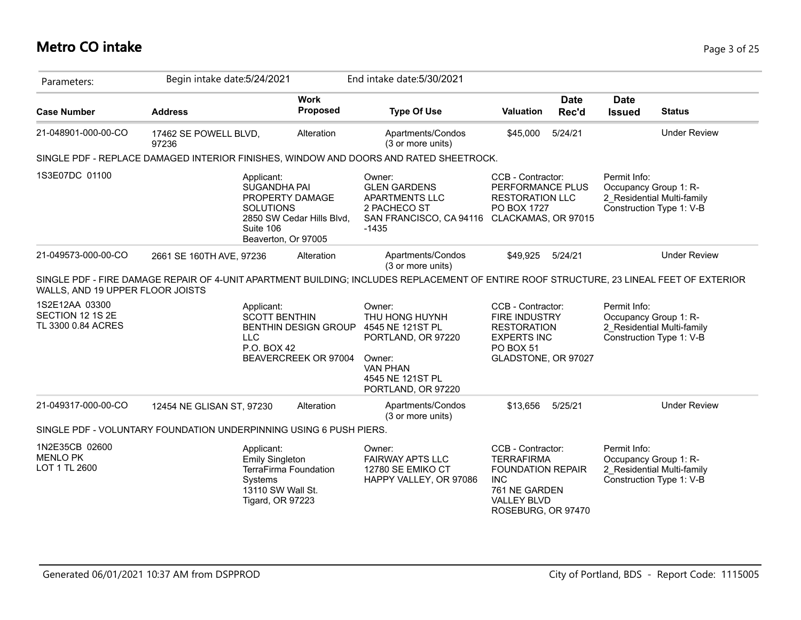## **Metro CO intake** Page 3 of 25

| Parameters:                                                        | Begin intake date: 5/24/2021   |                                                                                                                                           |                                | End intake date: 5/30/2021                                                                                                                |                                                                                                                                               |                      |                                       |                                                        |
|--------------------------------------------------------------------|--------------------------------|-------------------------------------------------------------------------------------------------------------------------------------------|--------------------------------|-------------------------------------------------------------------------------------------------------------------------------------------|-----------------------------------------------------------------------------------------------------------------------------------------------|----------------------|---------------------------------------|--------------------------------------------------------|
| <b>Case Number</b>                                                 | <b>Address</b>                 |                                                                                                                                           | <b>Work</b><br><b>Proposed</b> | <b>Type Of Use</b>                                                                                                                        | <b>Valuation</b>                                                                                                                              | <b>Date</b><br>Rec'd | <b>Date</b><br><b>Issued</b>          | <b>Status</b>                                          |
| 21-048901-000-00-CO                                                | 17462 SE POWELL BLVD,<br>97236 |                                                                                                                                           | Alteration                     | Apartments/Condos<br>(3 or more units)                                                                                                    | \$45,000                                                                                                                                      | 5/24/21              |                                       | <b>Under Review</b>                                    |
|                                                                    |                                |                                                                                                                                           |                                | SINGLE PDF - REPLACE DAMAGED INTERIOR FINISHES, WINDOW AND DOORS AND RATED SHEETROCK.                                                     |                                                                                                                                               |                      |                                       |                                                        |
| 1S3E07DC 01100                                                     |                                | Applicant:<br><b>SUGANDHA PAI</b><br>PROPERTY DAMAGE<br><b>SOLUTIONS</b><br>2850 SW Cedar Hills Blvd,<br>Suite 106<br>Beaverton, Or 97005 |                                | Owner:<br><b>GLEN GARDENS</b><br><b>APARTMENTS LLC</b><br>2 PACHECO ST<br>SAN FRANCISCO, CA 94116<br>$-1435$                              | CCB - Contractor:<br>PERFORMANCE PLUS<br><b>RESTORATION LLC</b><br>PO BOX 1727<br>CLACKAMAS, OR 97015                                         |                      | Permit Info:<br>Occupancy Group 1: R- | 2_Residential Multi-family<br>Construction Type 1: V-B |
| 21-049573-000-00-CO                                                | 2661 SE 160TH AVE, 97236       |                                                                                                                                           | Alteration                     | Apartments/Condos<br>(3 or more units)                                                                                                    | \$49,925                                                                                                                                      | 5/24/21              |                                       | <b>Under Review</b>                                    |
| WALLS, AND 19 UPPER FLOOR JOISTS                                   |                                |                                                                                                                                           |                                | SINGLE PDF - FIRE DAMAGE REPAIR OF 4-UNIT APARTMENT BUILDING; INCLUDES REPLACEMENT OF ENTIRE ROOF STRUCTURE, 23 LINEAL FEET OF EXTERIOR   |                                                                                                                                               |                      |                                       |                                                        |
| 1S2E12AA 03300<br>SECTION 12 1S 2E<br>TL 3300 0.84 ACRES           |                                | Applicant:<br><b>SCOTT BENTHIN</b><br><b>BENTHIN DESIGN GROUP</b><br><b>LLC</b><br>P.O. BOX 42<br>BEAVERCREEK OR 97004                    |                                | Owner:<br>THU HONG HUYNH<br>4545 NE 121ST PL<br>PORTLAND, OR 97220<br>Owner:<br><b>VAN PHAN</b><br>4545 NE 121ST PL<br>PORTLAND, OR 97220 | CCB - Contractor:<br><b>FIRE INDUSTRY</b><br><b>RESTORATION</b><br><b>EXPERTS INC</b><br>PO BOX 51<br>GLADSTONE, OR 97027                     |                      | Permit Info:<br>Occupancy Group 1: R- | 2 Residential Multi-family<br>Construction Type 1: V-B |
| 21-049317-000-00-CO                                                | 12454 NE GLISAN ST, 97230      |                                                                                                                                           | Alteration                     | Apartments/Condos<br>(3 or more units)                                                                                                    | \$13.656                                                                                                                                      | 5/25/21              |                                       | <b>Under Review</b>                                    |
| SINGLE PDF - VOLUNTARY FOUNDATION UNDERPINNING USING 6 PUSH PIERS. |                                |                                                                                                                                           |                                |                                                                                                                                           |                                                                                                                                               |                      |                                       |                                                        |
| 1N2E35CB 02600<br><b>MENLO PK</b><br>LOT 1 TL 2600                 |                                | Applicant:<br><b>Emily Singleton</b><br><b>TerraFirma Foundation</b><br>Systems<br>13110 SW Wall St.<br>Tigard, OR 97223                  |                                | Owner:<br><b>FAIRWAY APTS LLC</b><br>12780 SE EMIKO CT<br>HAPPY VALLEY, OR 97086                                                          | CCB - Contractor:<br><b>TERRAFIRMA</b><br><b>FOUNDATION REPAIR</b><br><b>INC</b><br>761 NE GARDEN<br><b>VALLEY BLVD</b><br>ROSEBURG, OR 97470 |                      | Permit Info:<br>Occupancy Group 1: R- | 2 Residential Multi-family<br>Construction Type 1: V-B |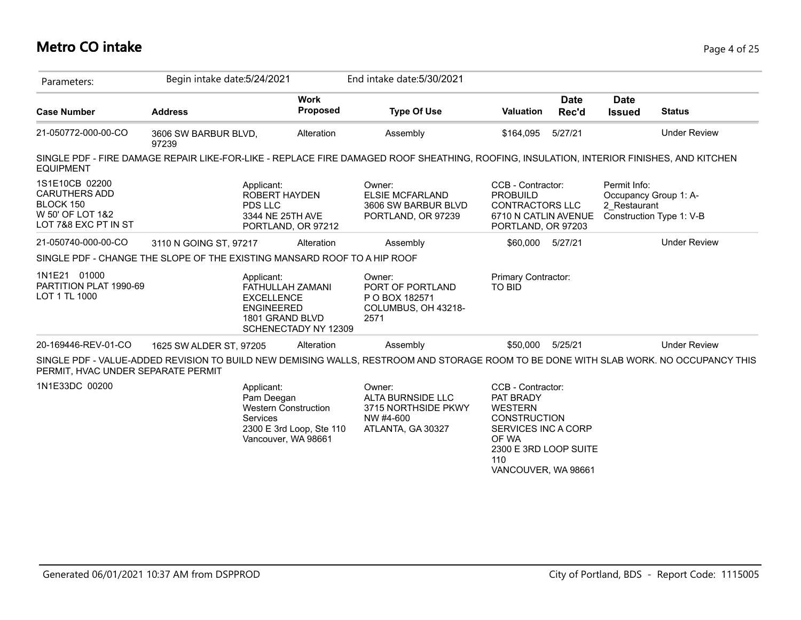#### **Metro CO intake** Page 4 of 25

| Parameters:                                                                                     | Begin intake date: 5/24/2021  |                                                                                                                               |            | End intake date: 5/30/2021                                                                                                               |                                                                                                                                                                |                      |                              |                                                   |
|-------------------------------------------------------------------------------------------------|-------------------------------|-------------------------------------------------------------------------------------------------------------------------------|------------|------------------------------------------------------------------------------------------------------------------------------------------|----------------------------------------------------------------------------------------------------------------------------------------------------------------|----------------------|------------------------------|---------------------------------------------------|
| <b>Case Number</b>                                                                              | <b>Address</b>                | <b>Work</b>                                                                                                                   | Proposed   | <b>Type Of Use</b>                                                                                                                       | <b>Valuation</b>                                                                                                                                               | <b>Date</b><br>Rec'd | <b>Date</b><br><b>Issued</b> | <b>Status</b>                                     |
| 21-050772-000-00-CO                                                                             | 3606 SW BARBUR BLVD,<br>97239 |                                                                                                                               | Alteration | Assembly                                                                                                                                 | \$164,095                                                                                                                                                      | 5/27/21              |                              | <b>Under Review</b>                               |
| <b>EQUIPMENT</b>                                                                                |                               |                                                                                                                               |            | SINGLE PDF - FIRE DAMAGE REPAIR LIKE-FOR-LIKE - REPLACE FIRE DAMAGED ROOF SHEATHING, ROOFING, INSULATION, INTERIOR FINISHES, AND KITCHEN |                                                                                                                                                                |                      |                              |                                                   |
| 1S1E10CB 02200<br><b>CARUTHERS ADD</b><br>BLOCK 150<br>W 50' OF LOT 1&2<br>LOT 7&8 EXC PT IN ST |                               | Applicant:<br><b>ROBERT HAYDEN</b><br>PDS LLC<br>3344 NE 25TH AVE<br>PORTLAND, OR 97212                                       |            | Owner:<br><b>ELSIE MCFARLAND</b><br>3606 SW BARBUR BLVD<br>PORTLAND, OR 97239                                                            | CCB - Contractor:<br><b>PROBUILD</b><br><b>CONTRACTORS LLC</b><br>6710 N CATLIN AVENUE<br>PORTLAND, OR 97203                                                   |                      | Permit Info:<br>2 Restaurant | Occupancy Group 1: A-<br>Construction Type 1: V-B |
| 21-050740-000-00-CO                                                                             | 3110 N GOING ST, 97217        |                                                                                                                               | Alteration | Assembly                                                                                                                                 | \$60.000                                                                                                                                                       | 5/27/21              |                              | <b>Under Review</b>                               |
| SINGLE PDF - CHANGE THE SLOPE OF THE EXISTING MANSARD ROOF TO A HIP ROOF                        |                               |                                                                                                                               |            |                                                                                                                                          |                                                                                                                                                                |                      |                              |                                                   |
| 1N1E21 01000<br>PARTITION PLAT 1990-69<br>LOT 1 TL 1000                                         |                               | Applicant:<br>FATHULLAH ZAMANI<br><b>EXCELLENCE</b><br><b>ENGINEERED</b><br>1801 GRAND BLVD<br>SCHENECTADY NY 12309           |            | Owner:<br>PORT OF PORTLAND<br>P O BOX 182571<br>COLUMBUS, OH 43218-<br>2571                                                              | <b>Primary Contractor:</b><br><b>TO BID</b>                                                                                                                    |                      |                              |                                                   |
| 20-169446-REV-01-CO                                                                             | 1625 SW ALDER ST, 97205       |                                                                                                                               | Alteration | Assembly                                                                                                                                 | \$50,000                                                                                                                                                       | 5/25/21              |                              | <b>Under Review</b>                               |
| PERMIT, HVAC UNDER SEPARATE PERMIT                                                              |                               |                                                                                                                               |            | SINGLE PDF - VALUE-ADDED REVISION TO BUILD NEW DEMISING WALLS, RESTROOM AND STORAGE ROOM TO BE DONE WITH SLAB WORK. NO OCCUPANCY THIS    |                                                                                                                                                                |                      |                              |                                                   |
| 1N1E33DC 00200                                                                                  |                               | Applicant:<br>Pam Deegan<br><b>Western Construction</b><br><b>Services</b><br>2300 E 3rd Loop, Ste 110<br>Vancouver, WA 98661 |            | Owner:<br><b>ALTA BURNSIDE LLC</b><br>3715 NORTHSIDE PKWY<br>NW #4-600<br>ATLANTA, GA 30327                                              | CCB - Contractor:<br>PAT BRADY<br><b>WESTERN</b><br><b>CONSTRUCTION</b><br>SERVICES INC A CORP<br>OF WA<br>2300 E 3RD LOOP SUITE<br>110<br>VANCOUVER, WA 98661 |                      |                              |                                                   |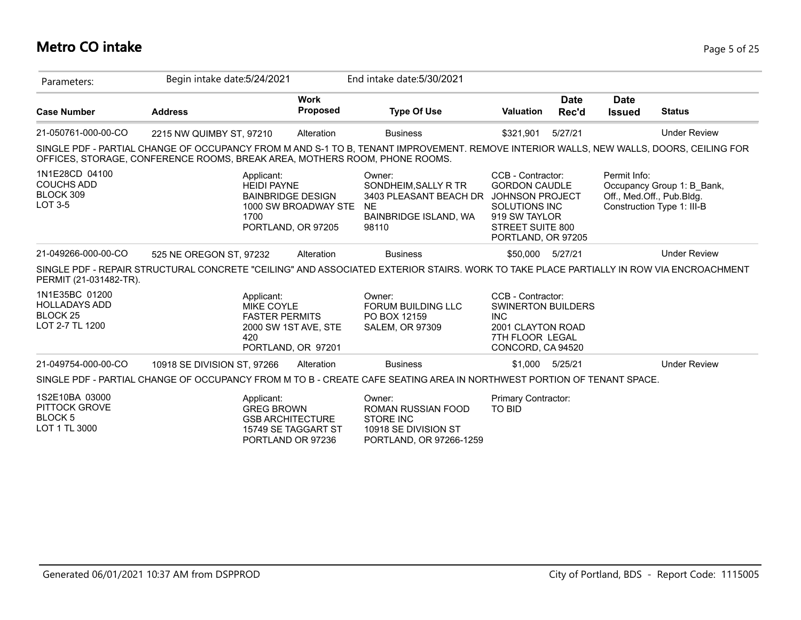## **Metro CO intake** Page 5 of 25

| Parameters:                                                                   | Begin intake date: 5/24/2021                                                                                                                                                                                         |                                            | End intake date: 5/30/2021                                                                                        |                                                                                                                              |                      |                                           |                                                          |
|-------------------------------------------------------------------------------|----------------------------------------------------------------------------------------------------------------------------------------------------------------------------------------------------------------------|--------------------------------------------|-------------------------------------------------------------------------------------------------------------------|------------------------------------------------------------------------------------------------------------------------------|----------------------|-------------------------------------------|----------------------------------------------------------|
| <b>Case Number</b>                                                            | <b>Address</b>                                                                                                                                                                                                       | <b>Work</b><br><b>Proposed</b>             | <b>Type Of Use</b>                                                                                                | <b>Valuation</b>                                                                                                             | <b>Date</b><br>Rec'd | <b>Date</b><br><b>Issued</b>              | <b>Status</b>                                            |
| 21-050761-000-00-CO                                                           | 2215 NW QUIMBY ST, 97210                                                                                                                                                                                             | Alteration                                 | <b>Business</b>                                                                                                   | \$321,901                                                                                                                    | 5/27/21              |                                           | <b>Under Review</b>                                      |
|                                                                               | SINGLE PDF - PARTIAL CHANGE OF OCCUPANCY FROM M AND S-1 TO B, TENANT IMPROVEMENT. REMOVE INTERIOR WALLS, NEW WALLS, DOORS, CEILING FOR<br>OFFICES, STORAGE, CONFERENCE ROOMS, BREAK AREA, MOTHERS ROOM, PHONE ROOMS. |                                            |                                                                                                                   |                                                                                                                              |                      |                                           |                                                          |
| 1N1E28CD 04100<br><b>COUCHS ADD</b><br>BLOCK 309<br><b>LOT 3-5</b>            | Applicant:<br><b>HEIDI PAYNE</b><br><b>BAINBRIDGE DESIGN</b><br>1700                                                                                                                                                 | 1000 SW BROADWAY STE<br>PORTLAND, OR 97205 | Owner:<br>SONDHEIM, SALLY R TR<br>3403 PLEASANT BEACH DR JOHNSON PROJECT<br>NE.<br>BAINBRIDGE ISLAND, WA<br>98110 | CCB - Contractor:<br><b>GORDON CAUDLE</b><br><b>SOLUTIONS INC</b><br>919 SW TAYLOR<br>STREET SUITE 800<br>PORTLAND, OR 97205 |                      | Permit Info:<br>Off., Med.Off., Pub.Bldg. | Occupancy Group 1: B Bank,<br>Construction Type 1: III-B |
| 21-049266-000-00-CO                                                           | 525 NE OREGON ST, 97232                                                                                                                                                                                              | Alteration                                 | <b>Business</b>                                                                                                   | \$50,000 5/27/21                                                                                                             |                      |                                           | <b>Under Review</b>                                      |
| PERMIT (21-031482-TR).                                                        | SINGLE PDF - REPAIR STRUCTURAL CONCRETE "CEILING" AND ASSOCIATED EXTERIOR STAIRS. WORK TO TAKE PLACE PARTIALLY IN ROW VIA ENCROACHMENT                                                                               |                                            |                                                                                                                   |                                                                                                                              |                      |                                           |                                                          |
| 1N1E35BC 01200<br><b>HOLLADAYS ADD</b><br>BLOCK 25<br>LOT 2-7 TL 1200         | Applicant:<br><b>MIKE COYLE</b><br><b>FASTER PERMITS</b><br>420                                                                                                                                                      | 2000 SW 1ST AVE, STE<br>PORTLAND, OR 97201 | Owner:<br><b>FORUM BUILDING LLC</b><br>PO BOX 12159<br><b>SALEM, OR 97309</b>                                     | CCB - Contractor:<br><b>SWINERTON BUILDERS</b><br><b>INC</b><br>2001 CLAYTON ROAD<br>7TH FLOOR LEGAL<br>CONCORD, CA 94520    |                      |                                           |                                                          |
| 21-049754-000-00-CO                                                           | 10918 SE DIVISION ST, 97266                                                                                                                                                                                          | Alteration                                 | <b>Business</b>                                                                                                   | \$1,000                                                                                                                      | 5/25/21              |                                           | <b>Under Review</b>                                      |
|                                                                               | SINGLE PDF - PARTIAL CHANGE OF OCCUPANCY FROM M TO B - CREATE CAFE SEATING AREA IN NORTHWEST PORTION OF TENANT SPACE.                                                                                                |                                            |                                                                                                                   |                                                                                                                              |                      |                                           |                                                          |
| 1S2E10BA 03000<br><b>PITTOCK GROVE</b><br>BLOCK <sub>5</sub><br>LOT 1 TL 3000 | Applicant:<br><b>GREG BROWN</b><br><b>GSB ARCHITECTURE</b><br>PORTLAND OR 97236                                                                                                                                      | 15749 SE TAGGART ST                        | Owner:<br><b>ROMAN RUSSIAN FOOD</b><br>STORE INC<br>10918 SE DIVISION ST<br>PORTLAND, OR 97266-1259               | Primary Contractor:<br><b>TO BID</b>                                                                                         |                      |                                           |                                                          |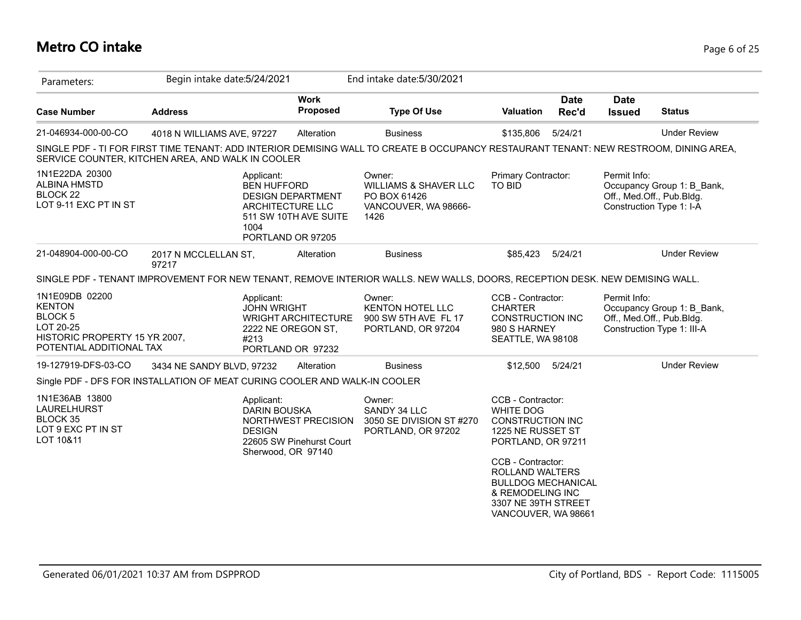## **Metro CO intake** Page 6 of 25

| Parameters:                                                                                                                     | Begin intake date: 5/24/2021  |                                                    |                                                                                            | End intake date: 5/30/2021                                                                                                            |                                                                                                                                                                                                                                                    |                      |                              |                                                                                       |
|---------------------------------------------------------------------------------------------------------------------------------|-------------------------------|----------------------------------------------------|--------------------------------------------------------------------------------------------|---------------------------------------------------------------------------------------------------------------------------------------|----------------------------------------------------------------------------------------------------------------------------------------------------------------------------------------------------------------------------------------------------|----------------------|------------------------------|---------------------------------------------------------------------------------------|
| <b>Case Number</b>                                                                                                              | <b>Address</b>                |                                                    | <b>Work</b><br>Proposed                                                                    | <b>Type Of Use</b>                                                                                                                    | <b>Valuation</b>                                                                                                                                                                                                                                   | <b>Date</b><br>Rec'd | <b>Date</b><br><b>Issued</b> | <b>Status</b>                                                                         |
| 21-046934-000-00-CO                                                                                                             | 4018 N WILLIAMS AVE, 97227    |                                                    | Alteration                                                                                 | <b>Business</b>                                                                                                                       | \$135,806                                                                                                                                                                                                                                          | 5/24/21              |                              | <b>Under Review</b>                                                                   |
| SERVICE COUNTER, KITCHEN AREA, AND WALK IN COOLER                                                                               |                               |                                                    |                                                                                            | SINGLE PDF - TI FOR FIRST TIME TENANT: ADD INTERIOR DEMISING WALL TO CREATE B OCCUPANCY RESTAURANT TENANT: NEW RESTROOM, DINING AREA, |                                                                                                                                                                                                                                                    |                      |                              |                                                                                       |
| 1N1E22DA 20300<br><b>ALBINA HMSTD</b><br>BLOCK <sub>22</sub><br>LOT 9-11 EXC PT IN ST                                           |                               | Applicant:<br><b>BEN HUFFORD</b><br>1004           | <b>DESIGN DEPARTMENT</b><br>ARCHITECTURE LLC<br>511 SW 10TH AVE SUITE<br>PORTLAND OR 97205 | Owner:<br><b>WILLIAMS &amp; SHAVER LLC</b><br>PO BOX 61426<br>VANCOUVER, WA 98666-<br>1426                                            | Primary Contractor:<br>TO BID                                                                                                                                                                                                                      |                      | Permit Info:                 | Occupancy Group 1: B_Bank,<br>Off., Med.Off., Pub.Bldg.<br>Construction Type 1: I-A   |
| 21-048904-000-00-CO                                                                                                             | 2017 N MCCLELLAN ST,<br>97217 |                                                    | Alteration                                                                                 | <b>Business</b>                                                                                                                       | \$85,423                                                                                                                                                                                                                                           | 5/24/21              |                              | <b>Under Review</b>                                                                   |
|                                                                                                                                 |                               |                                                    |                                                                                            | SINGLE PDF - TENANT IMPROVEMENT FOR NEW TENANT, REMOVE INTERIOR WALLS. NEW WALLS, DOORS, RECEPTION DESK. NEW DEMISING WALL.           |                                                                                                                                                                                                                                                    |                      |                              |                                                                                       |
| 1N1E09DB 02200<br><b>KENTON</b><br>BLOCK <sub>5</sub><br>LOT 20-25<br>HISTORIC PROPERTY 15 YR 2007,<br>POTENTIAL ADDITIONAL TAX |                               | Applicant:<br><b>JOHN WRIGHT</b><br>#213           | <b>WRIGHT ARCHITECTURE</b><br>2222 NE OREGON ST,<br>PORTLAND OR 97232                      | Owner:<br><b>KENTON HOTEL LLC</b><br>900 SW 5TH AVE FL 17<br>PORTLAND, OR 97204                                                       | CCB - Contractor:<br><b>CHARTER</b><br><b>CONSTRUCTION INC</b><br>980 S HARNEY<br>SEATTLE, WA 98108                                                                                                                                                |                      | Permit Info:                 | Occupancy Group 1: B Bank,<br>Off., Med.Off., Pub.Bldg.<br>Construction Type 1: III-A |
| 19-127919-DFS-03-CO                                                                                                             | 3434 NE SANDY BLVD, 97232     |                                                    | Alteration                                                                                 | <b>Business</b>                                                                                                                       | \$12,500                                                                                                                                                                                                                                           | 5/24/21              |                              | <b>Under Review</b>                                                                   |
| Single PDF - DFS FOR INSTALLATION OF MEAT CURING COOLER AND WALK-IN COOLER                                                      |                               |                                                    |                                                                                            |                                                                                                                                       |                                                                                                                                                                                                                                                    |                      |                              |                                                                                       |
| 1N1E36AB 13800<br>LAURELHURST<br>BLOCK 35<br>LOT 9 EXC PT IN ST<br>LOT 10&11                                                    |                               | Applicant:<br><b>DARIN BOUSKA</b><br><b>DESIGN</b> | NORTHWEST PRECISION<br>22605 SW Pinehurst Court<br>Sherwood, OR 97140                      | Owner:<br>SANDY 34 LLC<br>3050 SE DIVISION ST #270<br>PORTLAND, OR 97202                                                              | CCB - Contractor:<br><b>WHITE DOG</b><br><b>CONSTRUCTION INC</b><br>1225 NE RUSSET ST<br>PORTLAND, OR 97211<br>CCB - Contractor:<br>ROLLAND WALTERS<br><b>BULLDOG MECHANICAL</b><br>& REMODELING INC<br>3307 NE 39TH STREET<br>VANCOUVER, WA 98661 |                      |                              |                                                                                       |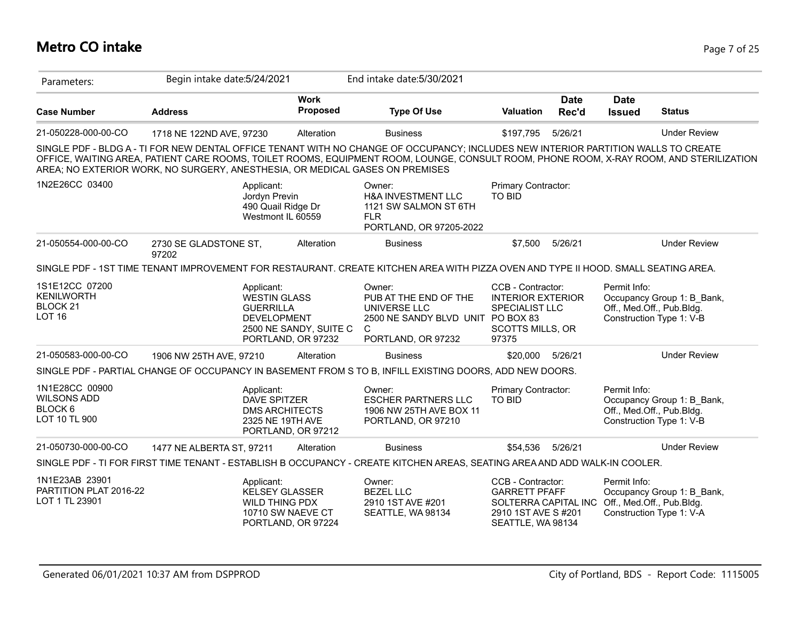## **Metro CO intake** Page 7 of 25

| Parameters:                                                                     | Begin intake date: 5/24/2021                                                 |                                                                                                               | End intake date: 5/30/2021                                                                                                                                                                                                                                                    |                                                                                                                                        |                      |                              |                                                                                     |
|---------------------------------------------------------------------------------|------------------------------------------------------------------------------|---------------------------------------------------------------------------------------------------------------|-------------------------------------------------------------------------------------------------------------------------------------------------------------------------------------------------------------------------------------------------------------------------------|----------------------------------------------------------------------------------------------------------------------------------------|----------------------|------------------------------|-------------------------------------------------------------------------------------|
| <b>Case Number</b>                                                              | <b>Address</b>                                                               | <b>Work</b><br><b>Proposed</b>                                                                                | <b>Type Of Use</b>                                                                                                                                                                                                                                                            | <b>Valuation</b>                                                                                                                       | <b>Date</b><br>Rec'd | <b>Date</b><br><b>Issued</b> | <b>Status</b>                                                                       |
| 21-050228-000-00-CO                                                             | 1718 NE 122ND AVE, 97230                                                     | Alteration                                                                                                    | <b>Business</b>                                                                                                                                                                                                                                                               | \$197,795                                                                                                                              | 5/26/21              |                              | <b>Under Review</b>                                                                 |
|                                                                                 | AREA; NO EXTERIOR WORK, NO SURGERY, ANESTHESIA, OR MEDICAL GASES ON PREMISES |                                                                                                               | SINGLE PDF - BLDG A - TI FOR NEW DENTAL OFFICE TENANT WITH NO CHANGE OF OCCUPANCY; INCLUDES NEW INTERIOR PARTITION WALLS TO CREATE<br>OFFICE, WAITING AREA, PATIENT CARE ROOMS, TOILET ROOMS, EQUIPMENT ROOM, LOUNGE, CONSULT ROOM, PHONE ROOM, X-RAY ROOM, AND STERILIZATION |                                                                                                                                        |                      |                              |                                                                                     |
| 1N2E26CC 03400                                                                  | Applicant:                                                                   | Jordyn Previn<br>490 Quail Ridge Dr<br>Westmont IL 60559                                                      | Owner:<br>H&A INVESTMENT LLC<br>1121 SW SALMON ST 6TH<br><b>FLR</b><br>PORTLAND, OR 97205-2022                                                                                                                                                                                | Primary Contractor:<br>TO BID                                                                                                          |                      |                              |                                                                                     |
| 21-050554-000-00-CO                                                             | 2730 SE GLADSTONE ST,<br>97202                                               | Alteration                                                                                                    | <b>Business</b>                                                                                                                                                                                                                                                               | \$7,500                                                                                                                                | 5/26/21              |                              | <b>Under Review</b>                                                                 |
|                                                                                 |                                                                              |                                                                                                               | SINGLE PDF - 1ST TIME TENANT IMPROVEMENT FOR RESTAURANT. CREATE KITCHEN AREA WITH PIZZA OVEN AND TYPE II HOOD. SMALL SEATING AREA.                                                                                                                                            |                                                                                                                                        |                      |                              |                                                                                     |
| 1S1E12CC 07200<br><b>KENILWORTH</b><br>BLOCK <sub>21</sub><br>LOT <sub>16</sub> | Applicant:                                                                   | <b>WESTIN GLASS</b><br><b>GUERRILLA</b><br><b>DEVELOPMENT</b><br>2500 NE SANDY, SUITE C<br>PORTLAND, OR 97232 | Owner:<br>PUB AT THE END OF THE<br>UNIVERSE LLC<br>2500 NE SANDY BLVD UNIT PO BOX 83<br>C<br>PORTLAND, OR 97232                                                                                                                                                               | CCB - Contractor:<br><b>INTERIOR EXTERIOR</b><br><b>SPECIALIST LLC</b><br><b>SCOTTS MILLS, OR</b><br>97375                             |                      | Permit Info:                 | Occupancy Group 1: B_Bank,<br>Off., Med.Off., Pub.Bldg.<br>Construction Type 1: V-B |
| 21-050583-000-00-CO                                                             | 1906 NW 25TH AVE, 97210                                                      | Alteration                                                                                                    | <b>Business</b>                                                                                                                                                                                                                                                               | \$20,000                                                                                                                               | 5/26/21              |                              | <b>Under Review</b>                                                                 |
|                                                                                 |                                                                              |                                                                                                               | SINGLE PDF - PARTIAL CHANGE OF OCCUPANCY IN BASEMENT FROM S TO B, INFILL EXISTING DOORS, ADD NEW DOORS.                                                                                                                                                                       |                                                                                                                                        |                      |                              |                                                                                     |
| 1N1E28CC 00900<br><b>WILSONS ADD</b><br>BLOCK <sub>6</sub><br>LOT 10 TL 900     | Applicant:                                                                   | <b>DAVE SPITZER</b><br><b>DMS ARCHITECTS</b><br>2325 NE 19TH AVE<br>PORTLAND, OR 97212                        | Owner:<br><b>ESCHER PARTNERS LLC</b><br>1906 NW 25TH AVE BOX 11<br>PORTLAND, OR 97210                                                                                                                                                                                         | Primary Contractor:<br><b>TO BID</b>                                                                                                   |                      | Permit Info:                 | Occupancy Group 1: B Bank,<br>Off., Med.Off., Pub.Bldg.<br>Construction Type 1: V-B |
| 21-050730-000-00-CO                                                             | 1477 NE ALBERTA ST, 97211                                                    | Alteration                                                                                                    | <b>Business</b>                                                                                                                                                                                                                                                               | \$54,536                                                                                                                               | 5/26/21              |                              | <b>Under Review</b>                                                                 |
|                                                                                 |                                                                              |                                                                                                               | SINGLE PDF - TI FOR FIRST TIME TENANT - ESTABLISH B OCCUPANCY - CREATE KITCHEN AREAS, SEATING AREA AND ADD WALK-IN COOLER.                                                                                                                                                    |                                                                                                                                        |                      |                              |                                                                                     |
| 1N1E23AB 23901<br>PARTITION PLAT 2016-22<br>LOT 1 TL 23901                      | Applicant:                                                                   | KELSEY GLASSER<br>WILD THING PDX<br>10710 SW NAEVE CT<br>PORTLAND, OR 97224                                   | Owner:<br><b>BEZEL LLC</b><br>2910 1ST AVE #201<br>SEATTLE, WA 98134                                                                                                                                                                                                          | CCB - Contractor:<br><b>GARRETT PFAFF</b><br>SOLTERRA CAPITAL INC Off., Med.Off., Pub.Bldg.<br>2910 1ST AVE S#201<br>SEATTLE, WA 98134 |                      | Permit Info:                 | Occupancy Group 1: B Bank,<br>Construction Type 1: V-A                              |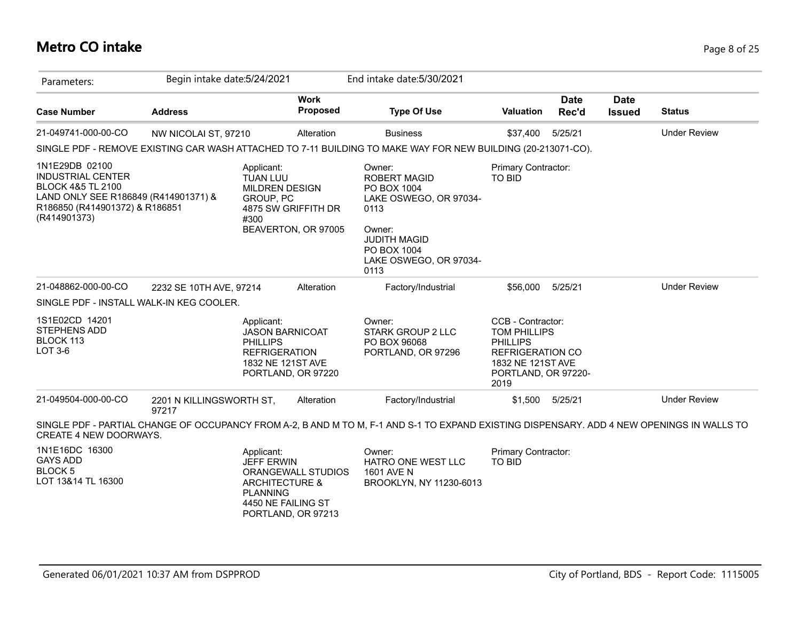## **Metro CO intake** Page 8 of 25

| Parameters:                                                                                                                                                          | Begin intake date: 5/24/2021      |                                                                                                                             |                                | End intake date: 5/30/2021                                                                                                                                       |                                                                                                                                     |                      |                              |                     |
|----------------------------------------------------------------------------------------------------------------------------------------------------------------------|-----------------------------------|-----------------------------------------------------------------------------------------------------------------------------|--------------------------------|------------------------------------------------------------------------------------------------------------------------------------------------------------------|-------------------------------------------------------------------------------------------------------------------------------------|----------------------|------------------------------|---------------------|
| <b>Case Number</b>                                                                                                                                                   | <b>Address</b>                    |                                                                                                                             | <b>Work</b><br><b>Proposed</b> | <b>Type Of Use</b>                                                                                                                                               | <b>Valuation</b>                                                                                                                    | <b>Date</b><br>Rec'd | <b>Date</b><br><b>Issued</b> | <b>Status</b>       |
| 21-049741-000-00-CO                                                                                                                                                  | NW NICOLAI ST, 97210              |                                                                                                                             | Alteration                     | <b>Business</b>                                                                                                                                                  | \$37,400                                                                                                                            | 5/25/21              |                              | <b>Under Review</b> |
|                                                                                                                                                                      |                                   |                                                                                                                             |                                | SINGLE PDF - REMOVE EXISTING CAR WASH ATTACHED TO 7-11 BUILDING TO MAKE WAY FOR NEW BUILDING (20-213071-CO).                                                     |                                                                                                                                     |                      |                              |                     |
| 1N1E29DB 02100<br><b>INDUSTRIAL CENTER</b><br><b>BLOCK 4&amp;5 TL 2100</b><br>LAND ONLY SEE R186849 (R414901371) &<br>R186850 (R414901372) & R186851<br>(R414901373) |                                   | Applicant:<br><b>TUAN LUU</b><br><b>MILDREN DESIGN</b><br>GROUP, PC<br>4875 SW GRIFFITH DR<br>#300                          | BEAVERTON, OR 97005            | Owner:<br><b>ROBERT MAGID</b><br>PO BOX 1004<br>LAKE OSWEGO, OR 97034-<br>0113<br>Owner:<br><b>JUDITH MAGID</b><br>PO BOX 1004<br>LAKE OSWEGO, OR 97034-<br>0113 | Primary Contractor:<br><b>TO BID</b>                                                                                                |                      |                              |                     |
| 21-048862-000-00-CO                                                                                                                                                  | 2232 SE 10TH AVE, 97214           |                                                                                                                             | Alteration                     | Factory/Industrial                                                                                                                                               | \$56,000                                                                                                                            | 5/25/21              |                              | <b>Under Review</b> |
| SINGLE PDF - INSTALL WALK-IN KEG COOLER.                                                                                                                             |                                   |                                                                                                                             |                                |                                                                                                                                                                  |                                                                                                                                     |                      |                              |                     |
| 1S1E02CD 14201<br>STEPHENS ADD<br>BLOCK 113<br>LOT 3-6                                                                                                               |                                   | Applicant:<br><b>JASON BARNICOAT</b><br><b>PHILLIPS</b><br><b>REFRIGERATION</b><br>1832 NE 121ST AVE<br>PORTLAND, OR 97220  |                                | Owner:<br><b>STARK GROUP 2 LLC</b><br>PO BOX 96068<br>PORTLAND, OR 97296                                                                                         | CCB - Contractor:<br>TOM PHILLIPS<br><b>PHILLIPS</b><br><b>REFRIGERATION CO</b><br>1832 NE 121ST AVE<br>PORTLAND, OR 97220-<br>2019 |                      |                              |                     |
| 21-049504-000-00-CO                                                                                                                                                  | 2201 N KILLINGSWORTH ST,<br>97217 |                                                                                                                             | Alteration                     | Factory/Industrial                                                                                                                                               | \$1,500                                                                                                                             | 5/25/21              |                              | <b>Under Review</b> |
| CREATE 4 NEW DOORWAYS.                                                                                                                                               |                                   |                                                                                                                             |                                | SINGLE PDF - PARTIAL CHANGE OF OCCUPANCY FROM A-2, B AND M TO M, F-1 AND S-1 TO EXPAND EXISTING DISPENSARY. ADD 4 NEW OPENINGS IN WALLS TO                       |                                                                                                                                     |                      |                              |                     |
| 1N1E16DC 16300<br><b>GAYS ADD</b><br><b>BLOCK 5</b><br>LOT 13&14 TL 16300                                                                                            |                                   | Applicant:<br><b>JEFF ERWIN</b><br><b>ARCHITECTURE &amp;</b><br><b>PLANNING</b><br>4450 NE FAILING ST<br>PORTLAND, OR 97213 | ORANGEWALL STUDIOS             | Owner:<br><b>HATRO ONE WEST LLC</b><br>1601 AVE N<br>BROOKLYN, NY 11230-6013                                                                                     | Primary Contractor:<br><b>TO BID</b>                                                                                                |                      |                              |                     |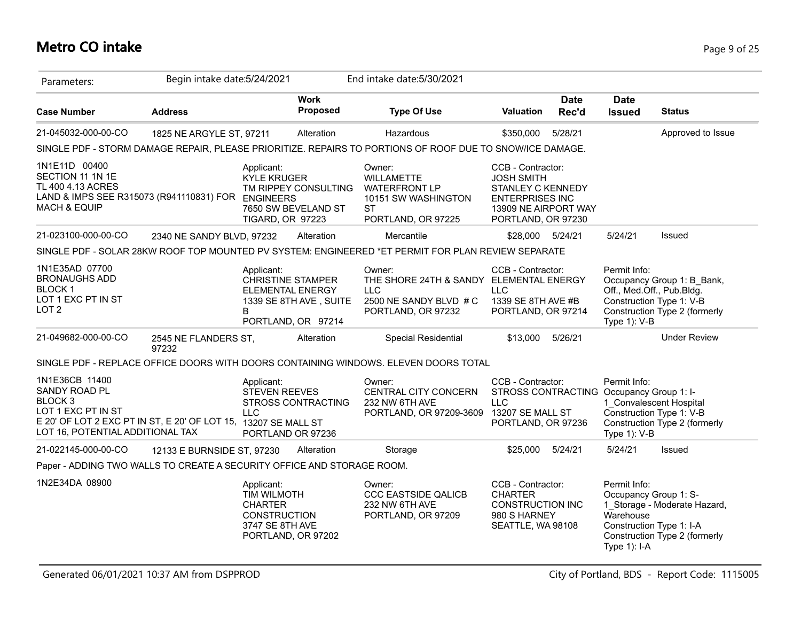# **Metro CO intake** Page 9 of 25

| Parameters:                                                                                                                                                                       | Begin intake date: 5/24/2021  |                                                                                              |                                                                                                     | End intake date: 5/30/2021                                                                               |                                                                                                                                            |                      |                                                                                                                                 |                                                               |
|-----------------------------------------------------------------------------------------------------------------------------------------------------------------------------------|-------------------------------|----------------------------------------------------------------------------------------------|-----------------------------------------------------------------------------------------------------|----------------------------------------------------------------------------------------------------------|--------------------------------------------------------------------------------------------------------------------------------------------|----------------------|---------------------------------------------------------------------------------------------------------------------------------|---------------------------------------------------------------|
| <b>Case Number</b>                                                                                                                                                                | <b>Address</b>                |                                                                                              | <b>Work</b><br>Proposed                                                                             | <b>Type Of Use</b>                                                                                       | <b>Valuation</b>                                                                                                                           | <b>Date</b><br>Rec'd | <b>Date</b><br><b>Issued</b>                                                                                                    | <b>Status</b>                                                 |
| 21-045032-000-00-CO                                                                                                                                                               | 1825 NE ARGYLE ST, 97211      |                                                                                              | Alteration                                                                                          | Hazardous                                                                                                | \$350,000                                                                                                                                  | 5/28/21              |                                                                                                                                 | Approved to Issue                                             |
|                                                                                                                                                                                   |                               |                                                                                              |                                                                                                     | SINGLE PDF - STORM DAMAGE REPAIR, PLEASE PRIORITIZE. REPAIRS TO PORTIONS OF ROOF DUE TO SNOW/ICE DAMAGE. |                                                                                                                                            |                      |                                                                                                                                 |                                                               |
| 1N1E11D 00400<br>SECTION 11 1N 1E<br>TL 400 4.13 ACRES<br>LAND & IMPS SEE R315073 (R941110831) FOR ENGINEERS<br><b>MACH &amp; EQUIP</b>                                           |                               | Applicant:<br><b>KYLE KRUGER</b><br>TIGARD, OR 97223                                         | TM RIPPEY CONSULTING<br>7650 SW BEVELAND ST                                                         | Owner:<br><b>WILLAMETTE</b><br><b>WATERFRONT LP</b><br>10151 SW WASHINGTON<br>ST<br>PORTLAND, OR 97225   | CCB - Contractor:<br><b>JOSH SMITH</b><br><b>STANLEY C KENNEDY</b><br><b>ENTERPRISES INC</b><br>13909 NE AIRPORT WAY<br>PORTLAND, OR 97230 |                      |                                                                                                                                 |                                                               |
| 21-023100-000-00-CO                                                                                                                                                               | 2340 NE SANDY BLVD, 97232     |                                                                                              | Alteration                                                                                          | Mercantile                                                                                               | \$28,000 5/24/21                                                                                                                           |                      | 5/24/21                                                                                                                         | Issued                                                        |
|                                                                                                                                                                                   |                               |                                                                                              |                                                                                                     | SINGLE PDF - SOLAR 28KW ROOF TOP MOUNTED PV SYSTEM: ENGINEERED *ET PERMIT FOR PLAN REVIEW SEPARATE       |                                                                                                                                            |                      |                                                                                                                                 |                                                               |
| 1N1E35AD 07700<br><b>BRONAUGHS ADD</b><br><b>BLOCK1</b><br>LOT 1 EXC PT IN ST<br>LOT <sub>2</sub>                                                                                 |                               | Applicant:<br>B                                                                              | <b>CHRISTINE STAMPER</b><br><b>ELEMENTAL ENERGY</b><br>1339 SE 8TH AVE, SUITE<br>PORTLAND, OR 97214 | Owner:<br>THE SHORE 24TH & SANDY<br><b>LLC</b><br>2500 NE SANDY BLVD # C<br>PORTLAND, OR 97232           | CCB - Contractor:<br><b>ELEMENTAL ENERGY</b><br><b>LLC</b><br>1339 SE 8TH AVE #B<br>PORTLAND, OR 97214                                     |                      | Permit Info:<br>Off., Med.Off., Pub.Bldg.<br>Construction Type 1: V-B<br>Type 1): V-B                                           | Occupancy Group 1: B_Bank,<br>Construction Type 2 (formerly   |
| 21-049682-000-00-CO                                                                                                                                                               | 2545 NE FLANDERS ST,<br>97232 |                                                                                              | Alteration                                                                                          | Special Residential                                                                                      | \$13,000                                                                                                                                   | 5/26/21              |                                                                                                                                 | <b>Under Review</b>                                           |
|                                                                                                                                                                                   |                               |                                                                                              |                                                                                                     | SINGLE PDF - REPLACE OFFICE DOORS WITH DOORS CONTAINING WINDOWS. ELEVEN DOORS TOTAL                      |                                                                                                                                            |                      |                                                                                                                                 |                                                               |
| 1N1E36CB 11400<br>SANDY ROAD PL<br>BLOCK <sub>3</sub><br>LOT 1 EXC PT IN ST<br>E 20' OF LOT 2 EXC PT IN ST, E 20' OF LOT 15, 13207 SE MALL ST<br>LOT 16, POTENTIAL ADDITIONAL TAX |                               | Applicant:<br><b>STEVEN REEVES</b><br><b>LLC</b>                                             | <b>STROSS CONTRACTING</b><br>PORTLAND OR 97236                                                      | Owner:<br>CENTRAL CITY CONCERN<br>232 NW 6TH AVE<br>PORTLAND, OR 97209-3609                              | CCB - Contractor:<br><b>LLC</b><br>13207 SE MALL ST<br>PORTLAND, OR 97236                                                                  |                      | Permit Info:<br>STROSS CONTRACTING Occupancy Group 1: I-<br>1 Convalescent Hospital<br>Construction Type 1: V-B<br>Type 1): V-B | Construction Type 2 (formerly                                 |
| 21-022145-000-00-CO                                                                                                                                                               | 12133 E BURNSIDE ST, 97230    |                                                                                              | Alteration                                                                                          | Storage                                                                                                  | \$25,000                                                                                                                                   | 5/24/21              | 5/24/21                                                                                                                         | Issued                                                        |
| Paper - ADDING TWO WALLS TO CREATE A SECURITY OFFICE AND STORAGE ROOM.                                                                                                            |                               |                                                                                              |                                                                                                     |                                                                                                          |                                                                                                                                            |                      |                                                                                                                                 |                                                               |
| 1N2E34DA 08900                                                                                                                                                                    |                               | Applicant:<br><b>TIM WILMOTH</b><br><b>CHARTER</b><br><b>CONSTRUCTION</b><br>3747 SE 8TH AVE | PORTLAND, OR 97202                                                                                  | Owner:<br><b>CCC EASTSIDE QALICB</b><br>232 NW 6TH AVE<br>PORTLAND, OR 97209                             | CCB - Contractor:<br><b>CHARTER</b><br><b>CONSTRUCTION INC</b><br>980 S HARNEY<br>SEATTLE, WA 98108                                        |                      | Permit Info:<br>Occupancy Group 1: S-<br>Warehouse<br>Construction Type 1: I-A<br>Type 1): I-A                                  | 1_Storage - Moderate Hazard,<br>Construction Type 2 (formerly |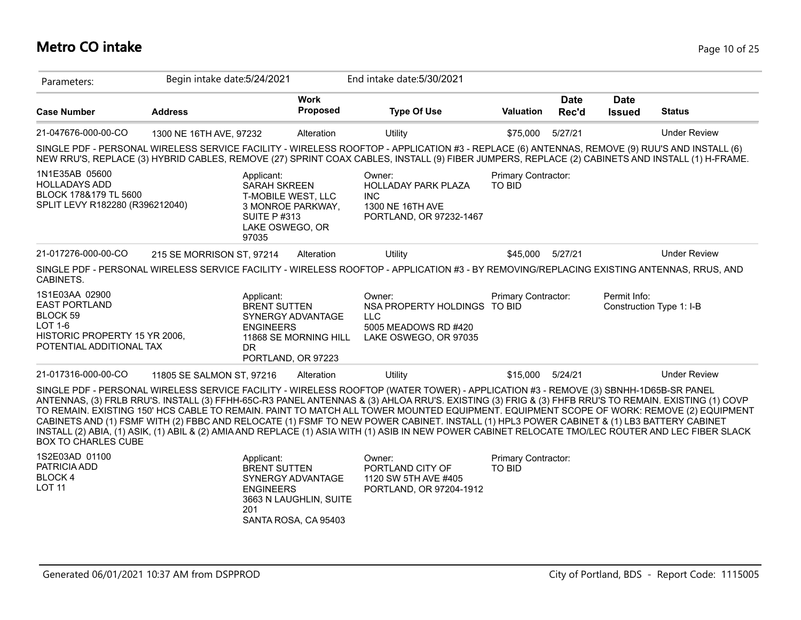## **Metro CO intake** Page 10 of 25

| Parameters:                                                                                                                       | Begin intake date: 5/24/2021 |                                                                                     |                                                                     | End intake date: 5/30/2021                                                                                                                                                                                                                                                                                                                                                                                                                                                                                                                                                                                                                                                                                                               |                                      |                      |                              |                          |
|-----------------------------------------------------------------------------------------------------------------------------------|------------------------------|-------------------------------------------------------------------------------------|---------------------------------------------------------------------|------------------------------------------------------------------------------------------------------------------------------------------------------------------------------------------------------------------------------------------------------------------------------------------------------------------------------------------------------------------------------------------------------------------------------------------------------------------------------------------------------------------------------------------------------------------------------------------------------------------------------------------------------------------------------------------------------------------------------------------|--------------------------------------|----------------------|------------------------------|--------------------------|
| <b>Case Number</b>                                                                                                                | <b>Address</b>               |                                                                                     | <b>Work</b><br><b>Proposed</b>                                      | <b>Type Of Use</b>                                                                                                                                                                                                                                                                                                                                                                                                                                                                                                                                                                                                                                                                                                                       | <b>Valuation</b>                     | <b>Date</b><br>Rec'd | <b>Date</b><br><b>Issued</b> | <b>Status</b>            |
| 21-047676-000-00-CO                                                                                                               | 1300 NE 16TH AVE, 97232      |                                                                                     | Alteration                                                          | <b>Utility</b>                                                                                                                                                                                                                                                                                                                                                                                                                                                                                                                                                                                                                                                                                                                           | \$75,000                             | 5/27/21              |                              | <b>Under Review</b>      |
|                                                                                                                                   |                              |                                                                                     |                                                                     | SINGLE PDF - PERSONAL WIRELESS SERVICE FACILITY - WIRELESS ROOFTOP - APPLICATION #3 - REPLACE (6) ANTENNAS, REMOVE (9) RUU'S AND INSTALL (6)<br>NEW RRU'S, REPLACE (3) HYBRID CABLES, REMOVE (27) SPRINT COAX CABLES, INSTALL (9) FIBER JUMPERS, REPLACE (2) CABINETS AND INSTALL (1) H-FRAME.                                                                                                                                                                                                                                                                                                                                                                                                                                           |                                      |                      |                              |                          |
| 1N1E35AB 05600<br><b>HOLLADAYS ADD</b><br>BLOCK 178&179 TL 5600<br>SPLIT LEVY R182280 (R396212040)                                |                              | Applicant:<br><b>SARAH SKREEN</b><br><b>SUITE P#313</b><br>LAKE OSWEGO, OR<br>97035 | T-MOBILE WEST, LLC<br>3 MONROE PARKWAY,                             | Owner:<br>HOLLADAY PARK PLAZA<br><b>INC</b><br>1300 NE 16TH AVE<br>PORTLAND, OR 97232-1467                                                                                                                                                                                                                                                                                                                                                                                                                                                                                                                                                                                                                                               | Primary Contractor:<br>TO BID        |                      |                              |                          |
| 21-017276-000-00-CO                                                                                                               | 215 SE MORRISON ST, 97214    |                                                                                     | Alteration                                                          | Utility                                                                                                                                                                                                                                                                                                                                                                                                                                                                                                                                                                                                                                                                                                                                  | \$45,000                             | 5/27/21              |                              | <b>Under Review</b>      |
| CABINETS.                                                                                                                         |                              |                                                                                     |                                                                     | SINGLE PDF - PERSONAL WIRELESS SERVICE FACILITY - WIRELESS ROOFTOP - APPLICATION #3 - BY REMOVING/REPLACING EXISTING ANTENNAS, RRUS, AND                                                                                                                                                                                                                                                                                                                                                                                                                                                                                                                                                                                                 |                                      |                      |                              |                          |
| 1S1E03AA 02900<br><b>EAST PORTLAND</b><br>BLOCK 59<br><b>LOT 1-6</b><br>HISTORIC PROPERTY 15 YR 2006,<br>POTENTIAL ADDITIONAL TAX |                              | Applicant:<br><b>BRENT SUTTEN</b><br><b>ENGINEERS</b><br>DR.                        | SYNERGY ADVANTAGE<br>11868 SE MORNING HILL<br>PORTLAND, OR 97223    | Owner:<br>NSA PROPERTY HOLDINGS TO BID<br><b>LLC</b><br>5005 MEADOWS RD #420<br>LAKE OSWEGO, OR 97035                                                                                                                                                                                                                                                                                                                                                                                                                                                                                                                                                                                                                                    | Primary Contractor:                  |                      | Permit Info:                 | Construction Type 1: I-B |
| 21-017316-000-00-CO                                                                                                               | 11805 SE SALMON ST, 97216    |                                                                                     | Alteration                                                          | Utility                                                                                                                                                                                                                                                                                                                                                                                                                                                                                                                                                                                                                                                                                                                                  | \$15,000                             | 5/24/21              |                              | <b>Under Review</b>      |
| <b>BOX TO CHARLES CUBE</b>                                                                                                        |                              |                                                                                     |                                                                     | SINGLE PDF - PERSONAL WIRELESS SERVICE FACILITY - WIRELESS ROOFTOP (WATER TOWER) - APPLICATION #3 - REMOVE (3) SBNHH-1D65B-SR PANEL<br>ANTENNAS, (3) FRLB RRU'S. INSTALL (3) FFHH-65C-R3 PANEL ANTENNAS & (3) AHLOA RRU'S. EXISTING (3) FRIG & (3) FHFB RRU'S TO REMAIN. EXISTING (1) COVP<br>TO REMAIN. EXISTING 150' HCS CABLE TO REMAIN. PAINT TO MATCH ALL TOWER MOUNTED EQUIPMENT. EQUIPMENT SCOPE OF WORK: REMOVE (2) EQUIPMENT<br>CABINETS AND (1) FSMF WITH (2) FBBC AND RELOCATE (1) FSMF TO NEW POWER CABINET. INSTALL (1) HPL3 POWER CABINET & (1) LB3 BATTERY CABINET<br>INSTALL (2) ABIA, (1) ASIK, (1) ABIL & (2) AMIA AND REPLACE (1) ASIA WITH (1) ASIB IN NEW POWER CABINET RELOCATE TMO/LEC ROUTER AND LEC FIBER SLACK |                                      |                      |                              |                          |
| 1S2E03AD 01100<br>PATRICIA ADD<br><b>BLOCK4</b><br><b>LOT 11</b>                                                                  |                              | Applicant:<br><b>BRENT SUTTEN</b><br><b>ENGINEERS</b><br>201                        | SYNERGY ADVANTAGE<br>3663 N LAUGHLIN, SUITE<br>SANTA ROSA, CA 95403 | Owner:<br>PORTLAND CITY OF<br>1120 SW 5TH AVE #405<br>PORTLAND, OR 97204-1912                                                                                                                                                                                                                                                                                                                                                                                                                                                                                                                                                                                                                                                            | Primary Contractor:<br><b>TO BID</b> |                      |                              |                          |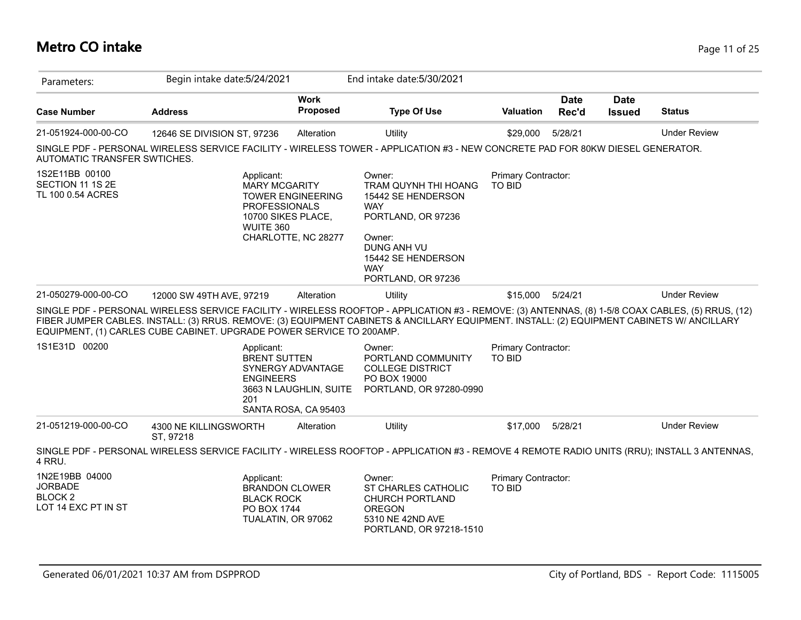## **Metro CO intake** Page 11 of 25

| Parameters:                                                                   | Begin intake date: 5/24/2021                                            |                                                                       | End intake date: 5/30/2021                                                                                                                                                                                                                                                                      |                                      |                      |                              |                     |
|-------------------------------------------------------------------------------|-------------------------------------------------------------------------|-----------------------------------------------------------------------|-------------------------------------------------------------------------------------------------------------------------------------------------------------------------------------------------------------------------------------------------------------------------------------------------|--------------------------------------|----------------------|------------------------------|---------------------|
| <b>Case Number</b>                                                            | <b>Address</b>                                                          | <b>Work</b><br>Proposed                                               | <b>Type Of Use</b>                                                                                                                                                                                                                                                                              | <b>Valuation</b>                     | <b>Date</b><br>Rec'd | <b>Date</b><br><b>Issued</b> | <b>Status</b>       |
| 21-051924-000-00-CO                                                           | 12646 SE DIVISION ST, 97236                                             | Alteration                                                            | Utility                                                                                                                                                                                                                                                                                         | \$29,000                             | 5/28/21              |                              | <b>Under Review</b> |
| AUTOMATIC TRANSFER SWTICHES.                                                  |                                                                         |                                                                       | SINGLE PDF - PERSONAL WIRELESS SERVICE FACILITY - WIRELESS TOWER - APPLICATION #3 - NEW CONCRETE PAD FOR 80KW DIESEL GENERATOR.                                                                                                                                                                 |                                      |                      |                              |                     |
| 1S2E11BB 00100<br>SECTION 11 1S 2E<br>TL 100 0.54 ACRES                       | Applicant:<br><b>MARY MCGARITY</b><br><b>PROFESSIONALS</b><br>WUITE 360 | <b>TOWER ENGINEERING</b><br>10700 SIKES PLACE,<br>CHARLOTTE, NC 28277 | Owner:<br>TRAM QUYNH THI HOANG<br>15442 SE HENDERSON<br><b>WAY</b><br>PORTLAND, OR 97236<br>Owner:<br>DUNG ANH VU<br>15442 SE HENDERSON<br><b>WAY</b><br>PORTLAND, OR 97236                                                                                                                     | Primary Contractor:<br><b>TO BID</b> |                      |                              |                     |
| 21-050279-000-00-CO                                                           | 12000 SW 49TH AVE, 97219                                                | Alteration                                                            | Utility                                                                                                                                                                                                                                                                                         | \$15,000                             | 5/24/21              |                              | <b>Under Review</b> |
|                                                                               | EQUIPMENT, (1) CARLES CUBE CABINET. UPGRADE POWER SERVICE TO 200AMP.    |                                                                       | SINGLE PDF - PERSONAL WIRELESS SERVICE FACILITY - WIRELESS ROOFTOP - APPLICATION #3 - REMOVE: (3) ANTENNAS, (8) 1-5/8 COAX CABLES, (5) RRUS, (12)<br>FIBER JUMPER CABLES. INSTALL: (3) RRUS. REMOVE: (3) EQUIPMENT CABINETS & ANCILLARY EQUIPMENT. INSTALL: (2) EQUIPMENT CABINETS W/ ANCILLARY |                                      |                      |                              |                     |
| 1S1E31D 00200                                                                 | Applicant:<br><b>BRENT SUTTEN</b><br><b>ENGINEERS</b><br>201            | SYNERGY ADVANTAGE<br>3663 N LAUGHLIN, SUITE<br>SANTA ROSA, CA 95403   | Owner:<br>PORTLAND COMMUNITY<br><b>COLLEGE DISTRICT</b><br>PO BOX 19000<br>PORTLAND, OR 97280-0990                                                                                                                                                                                              | Primary Contractor:<br><b>TO BID</b> |                      |                              |                     |
| 21-051219-000-00-CO                                                           | 4300 NE KILLINGSWORTH<br>ST, 97218                                      | Alteration                                                            | Utility                                                                                                                                                                                                                                                                                         | \$17,000                             | 5/28/21              |                              | <b>Under Review</b> |
| 4 RRU.                                                                        |                                                                         |                                                                       | SINGLE PDF - PERSONAL WIRELESS SERVICE FACILITY - WIRELESS ROOFTOP - APPLICATION #3 - REMOVE 4 REMOTE RADIO UNITS (RRU); INSTALL 3 ANTENNAS,                                                                                                                                                    |                                      |                      |                              |                     |
| 1N2E19BB 04000<br><b>JORBADE</b><br>BLOCK <sub>2</sub><br>LOT 14 EXC PT IN ST | Applicant:<br><b>BLACK ROCK</b><br>PO BOX 1744                          | <b>BRANDON CLOWER</b><br>TUALATIN, OR 97062                           | Owner:<br>ST CHARLES CATHOLIC<br><b>CHURCH PORTLAND</b><br><b>OREGON</b><br>5310 NE 42ND AVE<br>PORTLAND, OR 97218-1510                                                                                                                                                                         | Primary Contractor:<br><b>TO BID</b> |                      |                              |                     |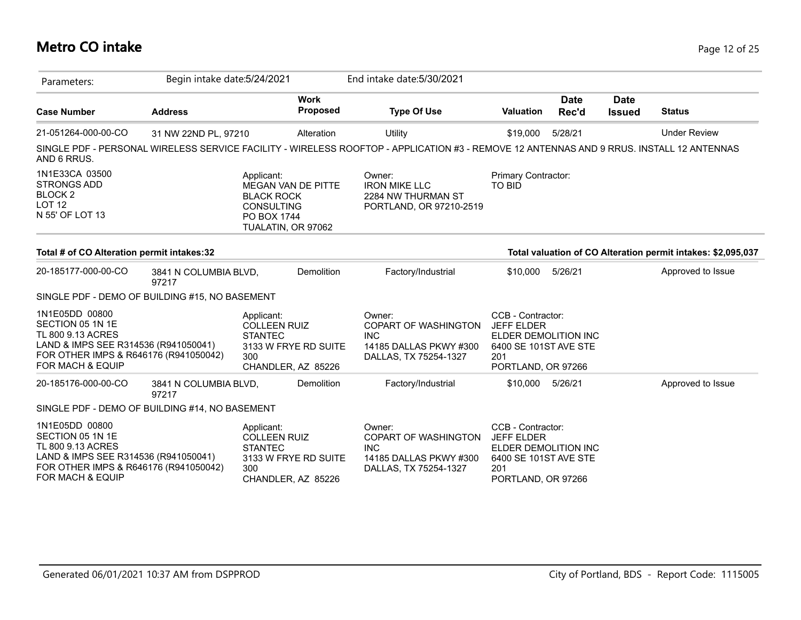## **Metro CO intake** Page 12 of 25

| Parameters:                                                                                                                                                  | Begin intake date: 5/24/2021   |                                                                                                                        | End intake date: 5/30/2021                                                                                                               |                                                                                                                      |                      |                              |                                                              |
|--------------------------------------------------------------------------------------------------------------------------------------------------------------|--------------------------------|------------------------------------------------------------------------------------------------------------------------|------------------------------------------------------------------------------------------------------------------------------------------|----------------------------------------------------------------------------------------------------------------------|----------------------|------------------------------|--------------------------------------------------------------|
| <b>Case Number</b>                                                                                                                                           | <b>Address</b>                 | <b>Work</b><br>Proposed                                                                                                | <b>Type Of Use</b>                                                                                                                       | <b>Valuation</b>                                                                                                     | <b>Date</b><br>Rec'd | <b>Date</b><br><b>Issued</b> | <b>Status</b>                                                |
| 21-051264-000-00-CO                                                                                                                                          | 31 NW 22ND PL, 97210           | Alteration                                                                                                             | Utility                                                                                                                                  | \$19,000                                                                                                             | 5/28/21              |                              | <b>Under Review</b>                                          |
| AND 6 RRUS.                                                                                                                                                  |                                |                                                                                                                        | SINGLE PDF - PERSONAL WIRELESS SERVICE FACILITY - WIRELESS ROOFTOP - APPLICATION #3 - REMOVE 12 ANTENNAS AND 9 RRUS. INSTALL 12 ANTENNAS |                                                                                                                      |                      |                              |                                                              |
| 1N1E33CA 03500<br><b>STRONGS ADD</b><br>BLOCK <sub>2</sub><br><b>LOT 12</b><br>N 55' OF LOT 13                                                               |                                | Applicant:<br><b>MEGAN VAN DE PITTE</b><br><b>BLACK ROCK</b><br><b>CONSULTING</b><br>PO BOX 1744<br>TUALATIN, OR 97062 | Owner:<br><b>IRON MIKE LLC</b><br>2284 NW THURMAN ST<br>PORTLAND, OR 97210-2519                                                          | Primary Contractor:<br><b>TO BID</b>                                                                                 |                      |                              |                                                              |
| Total # of CO Alteration permit intakes:32                                                                                                                   |                                |                                                                                                                        |                                                                                                                                          |                                                                                                                      |                      |                              | Total valuation of CO Alteration permit intakes: \$2,095,037 |
| 20-185177-000-00-CO                                                                                                                                          | 3841 N COLUMBIA BLVD,<br>97217 | Demolition                                                                                                             | Factory/Industrial                                                                                                                       | \$10,000                                                                                                             | 5/26/21              |                              | Approved to Issue                                            |
| SINGLE PDF - DEMO OF BUILDING #15, NO BASEMENT                                                                                                               |                                |                                                                                                                        |                                                                                                                                          |                                                                                                                      |                      |                              |                                                              |
| 1N1E05DD 00800<br>SECTION 05 1N 1E<br>TL 800 9.13 ACRES<br>LAND & IMPS SEE R314536 (R941050041)<br>FOR OTHER IMPS & R646176 (R941050042)<br>FOR MACH & EQUIP |                                | Applicant:<br><b>COLLEEN RUIZ</b><br><b>STANTEC</b><br>3133 W FRYE RD SUITE<br>300<br>CHANDLER, AZ 85226               | Owner:<br>COPART OF WASHINGTON<br><b>INC</b><br>14185 DALLAS PKWY #300<br>DALLAS, TX 75254-1327                                          | CCB - Contractor:<br><b>JEFF ELDER</b><br>ELDER DEMOLITION INC<br>6400 SE 101ST AVE STE<br>201<br>PORTLAND, OR 97266 |                      |                              |                                                              |
| 20-185176-000-00-CO                                                                                                                                          | 3841 N COLUMBIA BLVD,<br>97217 | Demolition                                                                                                             | Factory/Industrial                                                                                                                       | \$10,000                                                                                                             | 5/26/21              |                              | Approved to Issue                                            |
| SINGLE PDF - DEMO OF BUILDING #14, NO BASEMENT                                                                                                               |                                |                                                                                                                        |                                                                                                                                          |                                                                                                                      |                      |                              |                                                              |
| 1N1E05DD 00800<br>SECTION 05 1N 1E<br>TL 800 9.13 ACRES<br>LAND & IMPS SEE R314536 (R941050041)<br>FOR OTHER IMPS & R646176 (R941050042)<br>FOR MACH & EQUIP |                                | Applicant:<br><b>COLLEEN RUIZ</b><br><b>STANTEC</b><br>3133 W FRYE RD SUITE<br>300<br>CHANDLER, AZ 85226               | Owner:<br><b>COPART OF WASHINGTON</b><br><b>INC</b><br>14185 DALLAS PKWY #300<br>DALLAS, TX 75254-1327                                   | CCB - Contractor:<br><b>JEFF ELDER</b><br>ELDER DEMOLITION INC<br>6400 SE 101ST AVE STE<br>201<br>PORTLAND, OR 97266 |                      |                              |                                                              |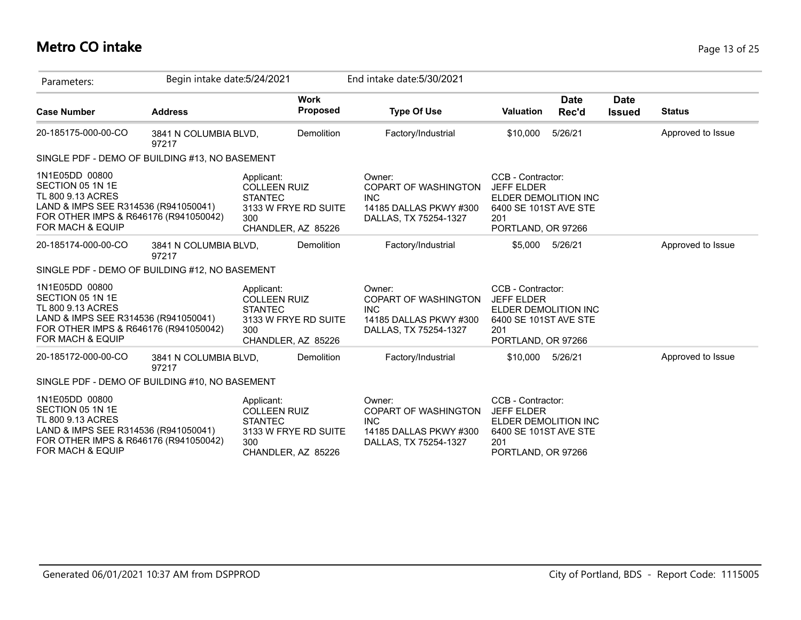## **Metro CO intake** Page 13 of 25

| Parameters:                                                                                                                                                  | Begin intake date: 5/24/2021   |                                                                                                          | End intake date: 5/30/2021                                                                             |                                                                                                                      |                      |                              |                   |
|--------------------------------------------------------------------------------------------------------------------------------------------------------------|--------------------------------|----------------------------------------------------------------------------------------------------------|--------------------------------------------------------------------------------------------------------|----------------------------------------------------------------------------------------------------------------------|----------------------|------------------------------|-------------------|
| <b>Case Number</b>                                                                                                                                           | <b>Address</b>                 | <b>Work</b><br>Proposed                                                                                  | <b>Type Of Use</b>                                                                                     | <b>Valuation</b>                                                                                                     | <b>Date</b><br>Rec'd | <b>Date</b><br><b>Issued</b> | <b>Status</b>     |
| 20-185175-000-00-CO                                                                                                                                          | 3841 N COLUMBIA BLVD,<br>97217 | <b>Demolition</b>                                                                                        | Factory/Industrial                                                                                     | \$10,000                                                                                                             | 5/26/21              |                              | Approved to Issue |
| SINGLE PDF - DEMO OF BUILDING #13, NO BASEMENT                                                                                                               |                                |                                                                                                          |                                                                                                        |                                                                                                                      |                      |                              |                   |
| 1N1E05DD 00800<br>SECTION 05 1N 1E<br>TL 800 9.13 ACRES<br>LAND & IMPS SEE R314536 (R941050041)<br>FOR OTHER IMPS & R646176 (R941050042)<br>FOR MACH & EQUIP |                                | Applicant:<br><b>COLLEEN RUIZ</b><br><b>STANTEC</b><br>3133 W FRYE RD SUITE<br>300<br>CHANDLER, AZ 85226 | Owner:<br><b>COPART OF WASHINGTON</b><br><b>INC</b><br>14185 DALLAS PKWY #300<br>DALLAS, TX 75254-1327 | CCB - Contractor:<br><b>JEFF ELDER</b><br>ELDER DEMOLITION INC<br>6400 SE 101ST AVE STE<br>201<br>PORTLAND, OR 97266 |                      |                              |                   |
| 20-185174-000-00-CO                                                                                                                                          | 3841 N COLUMBIA BLVD,<br>97217 | Demolition                                                                                               | Factory/Industrial                                                                                     | \$5,000                                                                                                              | 5/26/21              |                              | Approved to Issue |
| SINGLE PDF - DEMO OF BUILDING #12, NO BASEMENT                                                                                                               |                                |                                                                                                          |                                                                                                        |                                                                                                                      |                      |                              |                   |
| 1N1E05DD 00800<br>SECTION 05 1N 1E<br>TL 800 9.13 ACRES<br>LAND & IMPS SEE R314536 (R941050041)<br>FOR OTHER IMPS & R646176 (R941050042)<br>FOR MACH & EQUIP |                                | Applicant:<br><b>COLLEEN RUIZ</b><br><b>STANTEC</b><br>3133 W FRYE RD SUITE<br>300<br>CHANDLER, AZ 85226 | Owner:<br>COPART OF WASHINGTON<br><b>INC</b><br>14185 DALLAS PKWY #300<br>DALLAS, TX 75254-1327        | CCB - Contractor:<br><b>JEFF ELDER</b><br>ELDER DEMOLITION INC<br>6400 SE 101ST AVE STE<br>201<br>PORTLAND, OR 97266 |                      |                              |                   |
| 20-185172-000-00-CO                                                                                                                                          | 3841 N COLUMBIA BLVD,<br>97217 | <b>Demolition</b>                                                                                        | Factory/Industrial                                                                                     | \$10,000 5/26/21                                                                                                     |                      |                              | Approved to Issue |
| SINGLE PDF - DEMO OF BUILDING #10, NO BASEMENT                                                                                                               |                                |                                                                                                          |                                                                                                        |                                                                                                                      |                      |                              |                   |
| 1N1E05DD 00800<br>SECTION 05 1N 1E<br>TL 800 9.13 ACRES<br>LAND & IMPS SEE R314536 (R941050041)<br>FOR OTHER IMPS & R646176 (R941050042)<br>FOR MACH & EQUIP |                                | Applicant:<br><b>COLLEEN RUIZ</b><br><b>STANTEC</b><br>3133 W FRYE RD SUITE<br>300<br>CHANDLER, AZ 85226 | Owner:<br>COPART OF WASHINGTON<br><b>INC</b><br>14185 DALLAS PKWY #300<br>DALLAS, TX 75254-1327        | CCB - Contractor:<br><b>JEFF ELDER</b><br>ELDER DEMOLITION INC<br>6400 SE 101ST AVE STE<br>201<br>PORTLAND, OR 97266 |                      |                              |                   |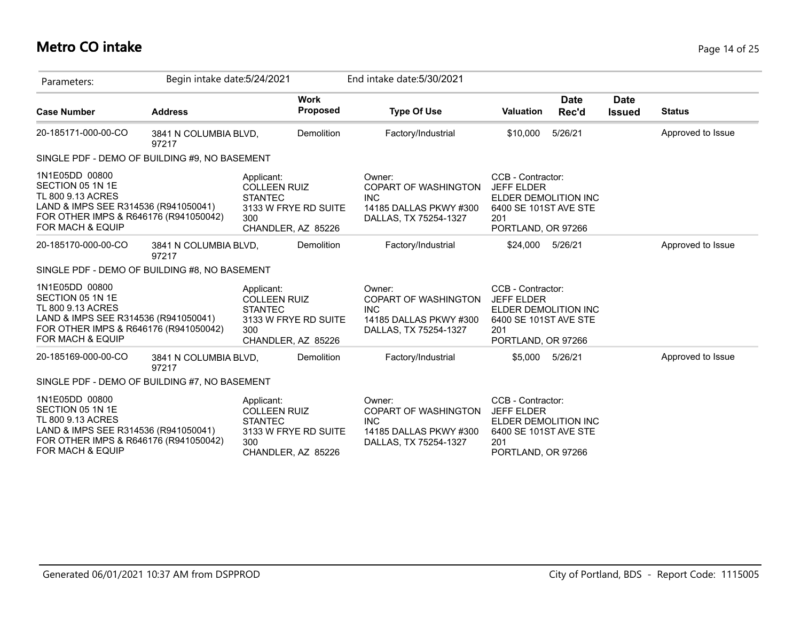## **Metro CO intake** Page 14 of 25

| Parameters:                                                                                                                                                  | Begin intake date: 5/24/2021   |                                                                                                          |            | End intake date: 5/30/2021                                                                      |                                                                                                                      |                      |                              |                   |
|--------------------------------------------------------------------------------------------------------------------------------------------------------------|--------------------------------|----------------------------------------------------------------------------------------------------------|------------|-------------------------------------------------------------------------------------------------|----------------------------------------------------------------------------------------------------------------------|----------------------|------------------------------|-------------------|
| <b>Case Number</b>                                                                                                                                           | <b>Address</b>                 | <b>Work</b>                                                                                              | Proposed   | <b>Type Of Use</b>                                                                              | <b>Valuation</b>                                                                                                     | <b>Date</b><br>Rec'd | <b>Date</b><br><b>Issued</b> | <b>Status</b>     |
| 20-185171-000-00-CO                                                                                                                                          | 3841 N COLUMBIA BLVD,<br>97217 |                                                                                                          | Demolition | Factory/Industrial                                                                              | \$10,000                                                                                                             | 5/26/21              |                              | Approved to Issue |
| SINGLE PDF - DEMO OF BUILDING #9, NO BASEMENT                                                                                                                |                                |                                                                                                          |            |                                                                                                 |                                                                                                                      |                      |                              |                   |
| 1N1E05DD 00800<br>SECTION 05 1N 1E<br>TL 800 9.13 ACRES<br>LAND & IMPS SEE R314536 (R941050041)<br>FOR OTHER IMPS & R646176 (R941050042)<br>FOR MACH & EQUIP |                                | Applicant:<br><b>COLLEEN RUIZ</b><br><b>STANTEC</b><br>3133 W FRYE RD SUITE<br>300<br>CHANDLER, AZ 85226 |            | Owner:<br>COPART OF WASHINGTON<br><b>INC</b><br>14185 DALLAS PKWY #300<br>DALLAS, TX 75254-1327 | CCB - Contractor:<br><b>JEFF ELDER</b><br>ELDER DEMOLITION INC<br>6400 SE 101ST AVE STE<br>201<br>PORTLAND, OR 97266 |                      |                              |                   |
| 20-185170-000-00-CO                                                                                                                                          | 3841 N COLUMBIA BLVD,<br>97217 |                                                                                                          | Demolition | Factory/Industrial                                                                              | \$24,000                                                                                                             | 5/26/21              |                              | Approved to Issue |
| SINGLE PDF - DEMO OF BUILDING #8, NO BASEMENT                                                                                                                |                                |                                                                                                          |            |                                                                                                 |                                                                                                                      |                      |                              |                   |
| 1N1E05DD 00800<br>SECTION 05 1N 1E<br>TL 800 9.13 ACRES<br>LAND & IMPS SEE R314536 (R941050041)<br>FOR OTHER IMPS & R646176 (R941050042)<br>FOR MACH & EQUIP |                                | Applicant:<br><b>COLLEEN RUIZ</b><br><b>STANTEC</b><br>3133 W FRYE RD SUITE<br>300<br>CHANDLER, AZ 85226 |            | Owner:<br>COPART OF WASHINGTON<br><b>INC</b><br>14185 DALLAS PKWY #300<br>DALLAS, TX 75254-1327 | CCB - Contractor:<br><b>JEFF ELDER</b><br>ELDER DEMOLITION INC<br>6400 SE 101ST AVE STE<br>201<br>PORTLAND, OR 97266 |                      |                              |                   |
| 20-185169-000-00-CO                                                                                                                                          | 3841 N COLUMBIA BLVD,<br>97217 |                                                                                                          | Demolition | Factory/Industrial                                                                              |                                                                                                                      | \$5,000 5/26/21      |                              | Approved to Issue |
| SINGLE PDF - DEMO OF BUILDING #7, NO BASEMENT                                                                                                                |                                |                                                                                                          |            |                                                                                                 |                                                                                                                      |                      |                              |                   |
| 1N1E05DD 00800<br>SECTION 05 1N 1E<br>TL 800 9.13 ACRES<br>LAND & IMPS SEE R314536 (R941050041)<br>FOR OTHER IMPS & R646176 (R941050042)<br>FOR MACH & EQUIP |                                | Applicant:<br><b>COLLEEN RUIZ</b><br><b>STANTEC</b><br>3133 W FRYE RD SUITE<br>300<br>CHANDLER, AZ 85226 |            | Owner:<br>COPART OF WASHINGTON<br><b>INC</b><br>14185 DALLAS PKWY #300<br>DALLAS, TX 75254-1327 | CCB - Contractor:<br><b>JEFF ELDER</b><br>ELDER DEMOLITION INC<br>6400 SE 101ST AVE STE<br>201<br>PORTLAND, OR 97266 |                      |                              |                   |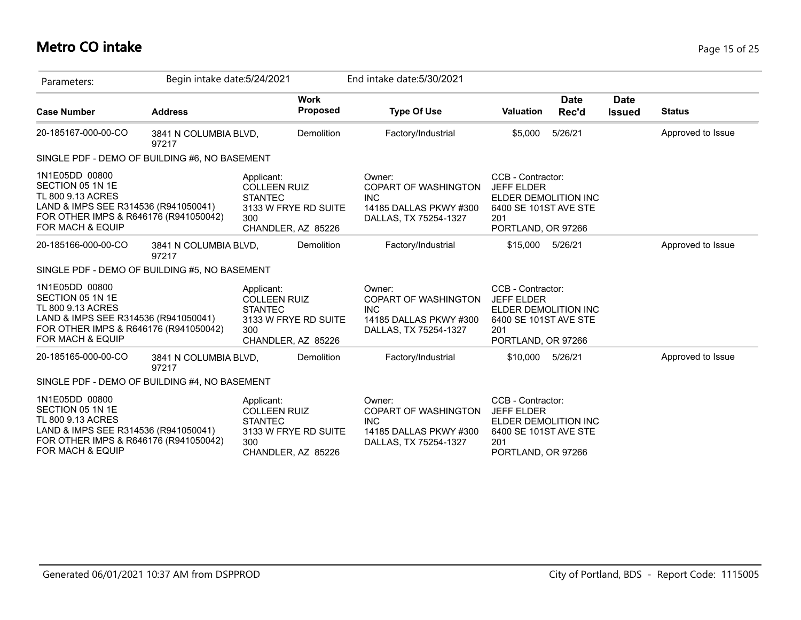## **Metro CO intake** Page 15 of 25

| Parameters:                                                                                                                                                  | Begin intake date: 5/24/2021   |                                                                                                          | End intake date: 5/30/2021                                                                             |                                                                                                                      |                              |                   |
|--------------------------------------------------------------------------------------------------------------------------------------------------------------|--------------------------------|----------------------------------------------------------------------------------------------------------|--------------------------------------------------------------------------------------------------------|----------------------------------------------------------------------------------------------------------------------|------------------------------|-------------------|
| <b>Case Number</b>                                                                                                                                           | <b>Address</b>                 | <b>Work</b><br>Proposed                                                                                  | <b>Type Of Use</b>                                                                                     | Date<br>Valuation<br>Rec'd                                                                                           | <b>Date</b><br><b>Issued</b> | <b>Status</b>     |
| 20-185167-000-00-CO                                                                                                                                          | 3841 N COLUMBIA BLVD,<br>97217 | <b>Demolition</b>                                                                                        | Factory/Industrial                                                                                     | 5/26/21<br>\$5,000                                                                                                   |                              | Approved to Issue |
| SINGLE PDF - DEMO OF BUILDING #6, NO BASEMENT                                                                                                                |                                |                                                                                                          |                                                                                                        |                                                                                                                      |                              |                   |
| 1N1E05DD 00800<br>SECTION 05 1N 1E<br>TL 800 9.13 ACRES<br>LAND & IMPS SEE R314536 (R941050041)<br>FOR OTHER IMPS & R646176 (R941050042)<br>FOR MACH & EQUIP |                                | Applicant:<br><b>COLLEEN RUIZ</b><br><b>STANTEC</b><br>3133 W FRYE RD SUITE<br>300<br>CHANDLER, AZ 85226 | Owner:<br><b>COPART OF WASHINGTON</b><br><b>INC</b><br>14185 DALLAS PKWY #300<br>DALLAS, TX 75254-1327 | CCB - Contractor:<br><b>JEFF ELDER</b><br>ELDER DEMOLITION INC<br>6400 SE 101ST AVE STE<br>201<br>PORTLAND, OR 97266 |                              |                   |
| 20-185166-000-00-CO                                                                                                                                          | 3841 N COLUMBIA BLVD,<br>97217 | Demolition                                                                                               | Factory/Industrial                                                                                     | \$15,000<br>5/26/21                                                                                                  |                              | Approved to Issue |
| SINGLE PDF - DEMO OF BUILDING #5, NO BASEMENT                                                                                                                |                                |                                                                                                          |                                                                                                        |                                                                                                                      |                              |                   |
| 1N1E05DD 00800<br>SECTION 05 1N 1E<br>TL 800 9.13 ACRES<br>LAND & IMPS SEE R314536 (R941050041)<br>FOR OTHER IMPS & R646176 (R941050042)<br>FOR MACH & EQUIP |                                | Applicant:<br><b>COLLEEN RUIZ</b><br><b>STANTEC</b><br>3133 W FRYE RD SUITE<br>300<br>CHANDLER, AZ 85226 | Owner:<br><b>COPART OF WASHINGTON</b><br><b>INC</b><br>14185 DALLAS PKWY #300<br>DALLAS, TX 75254-1327 | CCB - Contractor:<br><b>JEFF ELDER</b><br>ELDER DEMOLITION INC<br>6400 SE 101ST AVE STE<br>201<br>PORTLAND, OR 97266 |                              |                   |
| 20-185165-000-00-CO                                                                                                                                          | 3841 N COLUMBIA BLVD,<br>97217 | Demolition                                                                                               | Factory/Industrial                                                                                     | \$10,000 5/26/21                                                                                                     |                              | Approved to Issue |
| SINGLE PDF - DEMO OF BUILDING #4, NO BASEMENT                                                                                                                |                                |                                                                                                          |                                                                                                        |                                                                                                                      |                              |                   |
| 1N1E05DD 00800<br>SECTION 05 1N 1E<br>TL 800 9.13 ACRES<br>LAND & IMPS SEE R314536 (R941050041)<br>FOR OTHER IMPS & R646176 (R941050042)<br>FOR MACH & EQUIP |                                | Applicant:<br><b>COLLEEN RUIZ</b><br><b>STANTEC</b><br>3133 W FRYE RD SUITE<br>300<br>CHANDLER, AZ 85226 | Owner:<br><b>COPART OF WASHINGTON</b><br><b>INC</b><br>14185 DALLAS PKWY #300<br>DALLAS, TX 75254-1327 | CCB - Contractor:<br><b>JEFF ELDER</b><br>ELDER DEMOLITION INC<br>6400 SE 101ST AVE STE<br>201<br>PORTLAND, OR 97266 |                              |                   |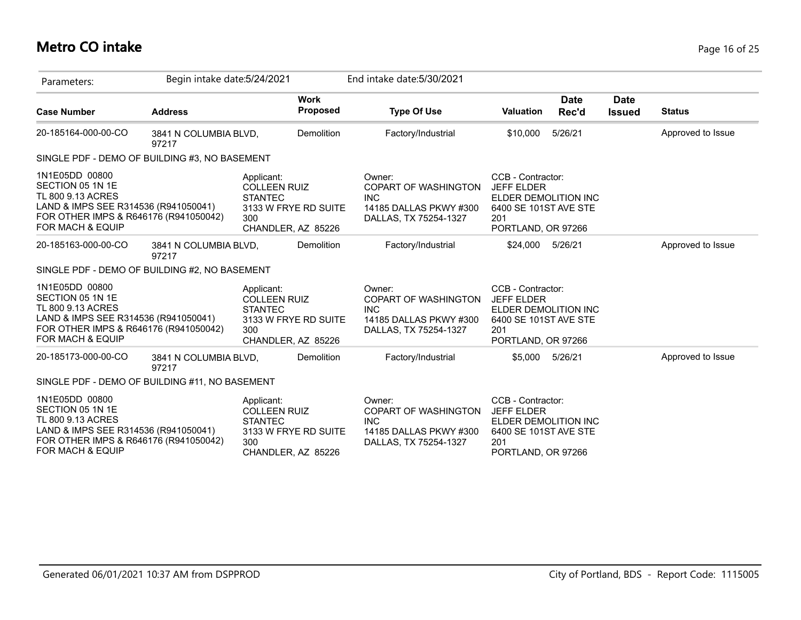## **Metro CO intake** Page 16 of 25

| Parameters:                                                                                                                                                  | Begin intake date: 5/24/2021   |                                                                                                          | End intake date: 5/30/2021                                                                             |                                                                                                                      |                              |                   |
|--------------------------------------------------------------------------------------------------------------------------------------------------------------|--------------------------------|----------------------------------------------------------------------------------------------------------|--------------------------------------------------------------------------------------------------------|----------------------------------------------------------------------------------------------------------------------|------------------------------|-------------------|
| <b>Case Number</b>                                                                                                                                           | <b>Address</b>                 | <b>Work</b><br>Proposed                                                                                  | <b>Type Of Use</b>                                                                                     | <b>Date</b><br>Rec'd<br><b>Valuation</b>                                                                             | <b>Date</b><br><b>Issued</b> | <b>Status</b>     |
| 20-185164-000-00-CO                                                                                                                                          | 3841 N COLUMBIA BLVD,<br>97217 | <b>Demolition</b>                                                                                        | Factory/Industrial                                                                                     | 5/26/21<br>\$10,000                                                                                                  |                              | Approved to Issue |
| SINGLE PDF - DEMO OF BUILDING #3, NO BASEMENT                                                                                                                |                                |                                                                                                          |                                                                                                        |                                                                                                                      |                              |                   |
| 1N1E05DD 00800<br>SECTION 05 1N 1E<br>TL 800 9.13 ACRES<br>LAND & IMPS SEE R314536 (R941050041)<br>FOR OTHER IMPS & R646176 (R941050042)<br>FOR MACH & EQUIP |                                | Applicant:<br><b>COLLEEN RUIZ</b><br><b>STANTEC</b><br>3133 W FRYE RD SUITE<br>300<br>CHANDLER, AZ 85226 | Owner:<br>COPART OF WASHINGTON<br><b>INC</b><br>14185 DALLAS PKWY #300<br>DALLAS, TX 75254-1327        | CCB - Contractor:<br><b>JEFF ELDER</b><br>ELDER DEMOLITION INC<br>6400 SE 101ST AVE STE<br>201<br>PORTLAND, OR 97266 |                              |                   |
| 20-185163-000-00-CO                                                                                                                                          | 3841 N COLUMBIA BLVD,<br>97217 | Demolition                                                                                               | Factory/Industrial                                                                                     | \$24,000<br>5/26/21                                                                                                  |                              | Approved to Issue |
| SINGLE PDF - DEMO OF BUILDING #2, NO BASEMENT                                                                                                                |                                |                                                                                                          |                                                                                                        |                                                                                                                      |                              |                   |
| 1N1E05DD 00800<br>SECTION 05 1N 1E<br>TL 800 9.13 ACRES<br>LAND & IMPS SEE R314536 (R941050041)<br>FOR OTHER IMPS & R646176 (R941050042)<br>FOR MACH & EQUIP |                                | Applicant:<br><b>COLLEEN RUIZ</b><br><b>STANTEC</b><br>3133 W FRYE RD SUITE<br>300<br>CHANDLER, AZ 85226 | Owner:<br><b>COPART OF WASHINGTON</b><br><b>INC</b><br>14185 DALLAS PKWY #300<br>DALLAS, TX 75254-1327 | CCB - Contractor:<br><b>JEFF ELDER</b><br>ELDER DEMOLITION INC<br>6400 SE 101ST AVE STE<br>201<br>PORTLAND, OR 97266 |                              |                   |
| 20-185173-000-00-CO                                                                                                                                          | 3841 N COLUMBIA BLVD,<br>97217 | Demolition                                                                                               | Factory/Industrial                                                                                     | \$5,000 5/26/21                                                                                                      |                              | Approved to Issue |
| SINGLE PDF - DEMO OF BUILDING #11, NO BASEMENT                                                                                                               |                                |                                                                                                          |                                                                                                        |                                                                                                                      |                              |                   |
| 1N1E05DD 00800<br>SECTION 05 1N 1E<br>TL 800 9.13 ACRES<br>LAND & IMPS SEE R314536 (R941050041)<br>FOR OTHER IMPS & R646176 (R941050042)<br>FOR MACH & EQUIP |                                | Applicant:<br><b>COLLEEN RUIZ</b><br><b>STANTEC</b><br>3133 W FRYE RD SUITE<br>300<br>CHANDLER, AZ 85226 | Owner:<br><b>COPART OF WASHINGTON</b><br><b>INC</b><br>14185 DALLAS PKWY #300<br>DALLAS, TX 75254-1327 | CCB - Contractor:<br><b>JEFF ELDER</b><br>ELDER DEMOLITION INC<br>6400 SE 101ST AVE STE<br>201<br>PORTLAND, OR 97266 |                              |                   |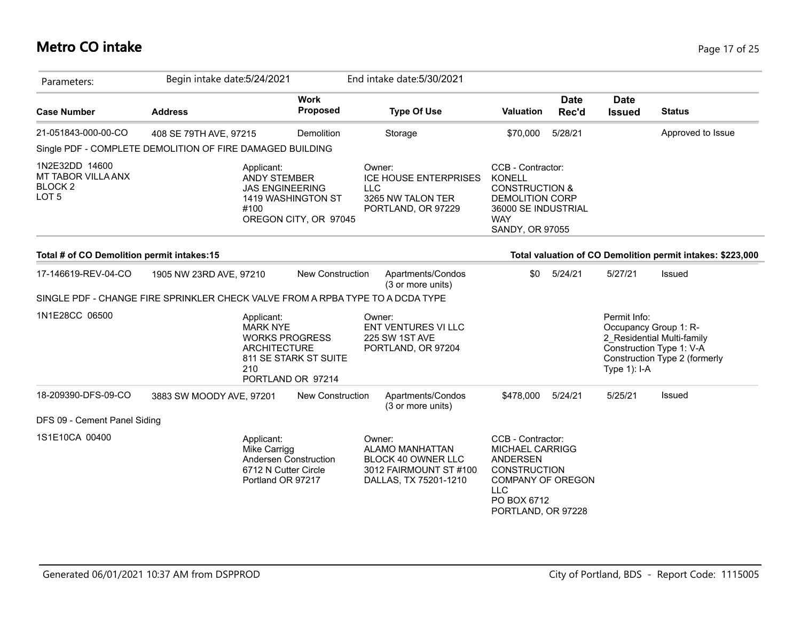## **Metro CO intake** Page 17 of 25

| Parameters:                                                                | Begin intake date: 5/24/2021                                                                              |                                             | End intake date: 5/30/2021                                                                         |                                                                                                                                                                      |                      |                              |                                                                                                                  |
|----------------------------------------------------------------------------|-----------------------------------------------------------------------------------------------------------|---------------------------------------------|----------------------------------------------------------------------------------------------------|----------------------------------------------------------------------------------------------------------------------------------------------------------------------|----------------------|------------------------------|------------------------------------------------------------------------------------------------------------------|
| <b>Case Number</b>                                                         | <b>Address</b>                                                                                            | <b>Work</b><br><b>Proposed</b>              | <b>Type Of Use</b>                                                                                 | <b>Valuation</b>                                                                                                                                                     | <b>Date</b><br>Rec'd | <b>Date</b><br><b>Issued</b> | <b>Status</b>                                                                                                    |
| 21-051843-000-00-CO                                                        | 408 SE 79TH AVE, 97215                                                                                    | Demolition                                  | Storage                                                                                            | \$70,000                                                                                                                                                             | 5/28/21              |                              | Approved to Issue                                                                                                |
|                                                                            | Single PDF - COMPLETE DEMOLITION OF FIRE DAMAGED BUILDING                                                 |                                             |                                                                                                    |                                                                                                                                                                      |                      |                              |                                                                                                                  |
| 1N2E32DD 14600<br>MT TABOR VILLA ANX<br><b>BLOCK 2</b><br>LOT <sub>5</sub> | Applicant:<br>ANDY STEMBER<br><b>JAS ENGINEERING</b><br>#100                                              | 1419 WASHINGTON ST<br>OREGON CITY, OR 97045 | Owner:<br><b>ICE HOUSE ENTERPRISES</b><br><b>LLC</b><br>3265 NW TALON TER<br>PORTLAND, OR 97229    | CCB - Contractor:<br><b>KONELL</b><br><b>CONSTRUCTION &amp;</b><br><b>DEMOLITION CORP</b><br>36000 SE INDUSTRIAL<br><b>WAY</b><br>SANDY, OR 97055                    |                      |                              |                                                                                                                  |
| Total # of CO Demolition permit intakes:15                                 |                                                                                                           |                                             |                                                                                                    |                                                                                                                                                                      |                      |                              | Total valuation of CO Demolition permit intakes: \$223,000                                                       |
| 17-146619-REV-04-CO                                                        | 1905 NW 23RD AVE, 97210<br>SINGLE PDF - CHANGE FIRE SPRINKLER CHECK VALVE FROM A RPBA TYPE TO A DCDA TYPE | <b>New Construction</b>                     | Apartments/Condos<br>(3 or more units)                                                             | \$0                                                                                                                                                                  | 5/24/21              | 5/27/21                      | Issued                                                                                                           |
| 1N1E28CC 06500                                                             | Applicant:<br><b>MARK NYE</b><br><b>WORKS PROGRESS</b><br><b>ARCHITECTURE</b><br>210                      | 811 SE STARK ST SUITE<br>PORTLAND OR 97214  | Owner:<br><b>ENT VENTURES VI LLC</b><br><b>225 SW 1ST AVE</b><br>PORTLAND, OR 97204                |                                                                                                                                                                      |                      | Permit Info:<br>Type 1): I-A | Occupancy Group 1: R-<br>2 Residential Multi-family<br>Construction Type 1: V-A<br>Construction Type 2 (formerly |
| 18-209390-DFS-09-CO                                                        | 3883 SW MOODY AVE, 97201                                                                                  | New Construction                            | Apartments/Condos<br>(3 or more units)                                                             | \$478,000                                                                                                                                                            | 5/24/21              | 5/25/21                      | Issued                                                                                                           |
| DFS 09 - Cement Panel Siding                                               |                                                                                                           |                                             |                                                                                                    |                                                                                                                                                                      |                      |                              |                                                                                                                  |
| 1S1E10CA 00400                                                             | Applicant:<br>Mike Carrigg<br>6712 N Cutter Circle<br>Portland OR 97217                                   | Andersen Construction                       | Owner:<br>ALAMO MANHATTAN<br>BLOCK 40 OWNER LLC<br>3012 FAIRMOUNT ST #100<br>DALLAS, TX 75201-1210 | CCB - Contractor:<br><b>MICHAEL CARRIGG</b><br><b>ANDERSEN</b><br><b>CONSTRUCTION</b><br><b>COMPANY OF OREGON</b><br><b>LLC</b><br>PO BOX 6712<br>PORTLAND, OR 97228 |                      |                              |                                                                                                                  |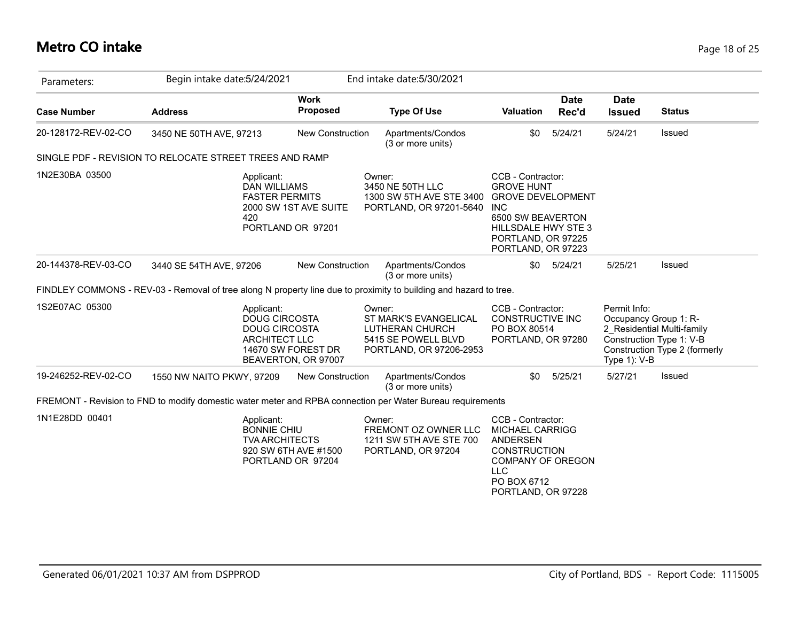#### **Metro CO intake** Page 18 of 25

| Parameters:         | Begin intake date: 5/24/2021                                                                                      |                                           | End intake date: 5/30/2021                                                                           |                                                                                                                                                                          |                      |                                                       |                                                                                         |
|---------------------|-------------------------------------------------------------------------------------------------------------------|-------------------------------------------|------------------------------------------------------------------------------------------------------|--------------------------------------------------------------------------------------------------------------------------------------------------------------------------|----------------------|-------------------------------------------------------|-----------------------------------------------------------------------------------------|
| <b>Case Number</b>  | <b>Address</b>                                                                                                    | <b>Work</b><br>Proposed                   | <b>Type Of Use</b>                                                                                   | <b>Valuation</b>                                                                                                                                                         | <b>Date</b><br>Rec'd | <b>Date</b><br><b>Issued</b>                          | <b>Status</b>                                                                           |
| 20-128172-REV-02-CO | 3450 NE 50TH AVE, 97213                                                                                           | New Construction                          | Apartments/Condos<br>(3 or more units)                                                               | \$0                                                                                                                                                                      | 5/24/21              | 5/24/21                                               | Issued                                                                                  |
|                     | SINGLE PDF - REVISION TO RELOCATE STREET TREES AND RAMP                                                           |                                           |                                                                                                      |                                                                                                                                                                          |                      |                                                       |                                                                                         |
| 1N2E30BA 03500      | Applicant:<br><b>DAN WILLIAMS</b><br><b>FASTER PERMITS</b><br>420<br>PORTLAND OR 97201                            | 2000 SW 1ST AVE SUITE                     | Owner:<br>3450 NE 50TH LLC<br>1300 SW 5TH AVE STE 3400<br>PORTLAND, OR 97201-5640                    | CCB - Contractor:<br><b>GROVE HUNT</b><br><b>GROVE DEVELOPMENT</b><br><b>INC</b><br>6500 SW BEAVERTON<br>HILLSDALE HWY STE 3<br>PORTLAND, OR 97225<br>PORTLAND, OR 97223 |                      |                                                       |                                                                                         |
| 20-144378-REV-03-CO | 3440 SE 54TH AVE, 97206                                                                                           | <b>New Construction</b>                   | Apartments/Condos<br>(3 or more units)                                                               | \$0                                                                                                                                                                      | 5/24/21              | 5/25/21                                               | Issued                                                                                  |
|                     | FINDLEY COMMONS - REV-03 - Removal of tree along N property line due to proximity to building and hazard to tree. |                                           |                                                                                                      |                                                                                                                                                                          |                      |                                                       |                                                                                         |
| 1S2E07AC 05300      | Applicant:<br><b>DOUG CIRCOSTA</b><br><b>DOUG CIRCOSTA</b><br><b>ARCHITECT LLC</b>                                | 14670 SW FOREST DR<br>BEAVERTON, OR 97007 | Owner:<br>ST MARK'S EVANGELICAL<br>LUTHERAN CHURCH<br>5415 SE POWELL BLVD<br>PORTLAND, OR 97206-2953 | CCB - Contractor:<br>CONSTRUCTIVE INC<br>PO BOX 80514<br>PORTLAND, OR 97280                                                                                              |                      | Permit Info:<br>Occupancy Group 1: R-<br>Type 1): V-B | 2 Residential Multi-family<br>Construction Type 1: V-B<br>Construction Type 2 (formerly |
| 19-246252-REV-02-CO | 1550 NW NAITO PKWY, 97209                                                                                         | <b>New Construction</b>                   | Apartments/Condos<br>(3 or more units)                                                               | \$0                                                                                                                                                                      | 5/25/21              | 5/27/21                                               | Issued                                                                                  |
|                     | FREMONT - Revision to FND to modify domestic water meter and RPBA connection per Water Bureau requirements        |                                           |                                                                                                      |                                                                                                                                                                          |                      |                                                       |                                                                                         |
| 1N1E28DD 00401      | Applicant:<br><b>BONNIE CHIU</b><br><b>TVA ARCHITECTS</b><br>PORTLAND OR 97204                                    | 920 SW 6TH AVE #1500                      | Owner:<br>FREMONT OZ OWNER LLC<br>1211 SW 5TH AVE STE 700<br>PORTLAND, OR 97204                      | CCB - Contractor:<br><b>MICHAEL CARRIGG</b><br><b>ANDERSEN</b><br><b>CONSTRUCTION</b><br><b>COMPANY OF OREGON</b><br><b>LLC</b><br>PO BOX 6712<br>PORTLAND, OR 97228     |                      |                                                       |                                                                                         |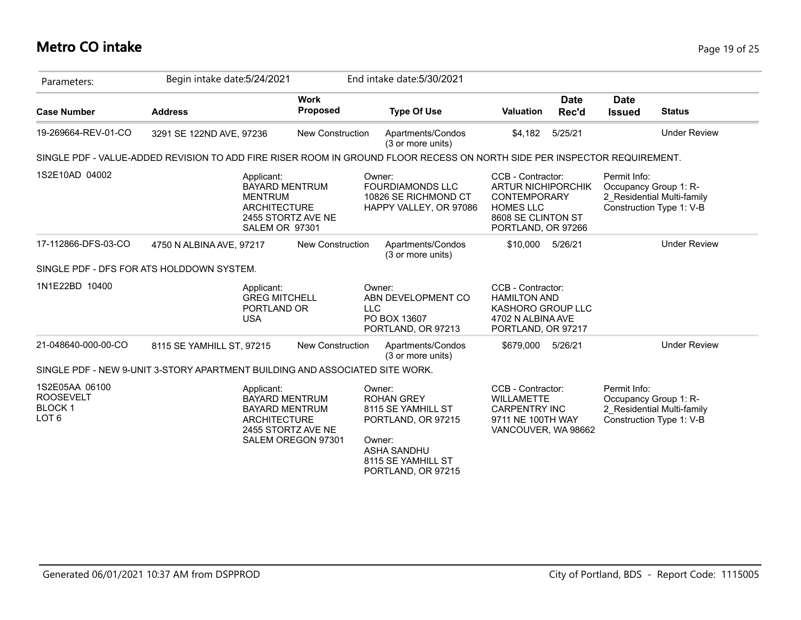#### **Metro CO intake** Page 19 of 25

| Parameters:                                                             | Begin intake date: 5/24/2021                                                                                             |                                                                                                                   | End intake date: 5/30/2021                                                                                                                          |                                                                                                                                       |                                                                                                 |
|-------------------------------------------------------------------------|--------------------------------------------------------------------------------------------------------------------------|-------------------------------------------------------------------------------------------------------------------|-----------------------------------------------------------------------------------------------------------------------------------------------------|---------------------------------------------------------------------------------------------------------------------------------------|-------------------------------------------------------------------------------------------------|
| <b>Case Number</b>                                                      | <b>Address</b>                                                                                                           | <b>Work</b><br><b>Proposed</b>                                                                                    | <b>Type Of Use</b>                                                                                                                                  | <b>Date</b><br><b>Valuation</b><br>Rec'd                                                                                              | <b>Date</b><br><b>Status</b><br><b>Issued</b>                                                   |
| 19-269664-REV-01-CO                                                     | 3291 SE 122ND AVE, 97236                                                                                                 | New Construction                                                                                                  | Apartments/Condos<br>(3 or more units)                                                                                                              | 5/25/21<br>\$4,182                                                                                                                    | <b>Under Review</b>                                                                             |
|                                                                         | SINGLE PDF - VALUE-ADDED REVISION TO ADD FIRE RISER ROOM IN GROUND FLOOR RECESS ON NORTH SIDE PER INSPECTOR REQUIREMENT. |                                                                                                                   |                                                                                                                                                     |                                                                                                                                       |                                                                                                 |
| 1S2E10AD 04002                                                          | Applicant:<br><b>MENTRUM</b>                                                                                             | <b>BAYARD MENTRUM</b><br><b>ARCHITECTURE</b><br>2455 STORTZ AVE NE<br>SALEM OR 97301                              | Owner:<br><b>FOURDIAMONDS LLC</b><br>10826 SE RICHMOND CT<br>HAPPY VALLEY, OR 97086                                                                 | CCB - Contractor:<br><b>ARTUR NICHIPORCHIK</b><br><b>CONTEMPORARY</b><br><b>HOMES LLC</b><br>8608 SE CLINTON ST<br>PORTLAND, OR 97266 | Permit Info:<br>Occupancy Group 1: R-<br>2 Residential Multi-family<br>Construction Type 1: V-B |
| 17-112866-DFS-03-CO                                                     | 4750 N ALBINA AVE, 97217                                                                                                 | <b>New Construction</b>                                                                                           | Apartments/Condos<br>(3 or more units)                                                                                                              | \$10,000<br>5/26/21                                                                                                                   | <b>Under Review</b>                                                                             |
|                                                                         | SINGLE PDF - DFS FOR ATS HOLDDOWN SYSTEM.                                                                                |                                                                                                                   |                                                                                                                                                     |                                                                                                                                       |                                                                                                 |
| 1N1E22BD 10400                                                          | Applicant:<br><b>USA</b>                                                                                                 | <b>GREG MITCHELL</b><br>PORTLAND OR                                                                               | Owner:<br>ABN DEVELOPMENT CO<br><b>LLC</b><br>PO BOX 13607<br>PORTLAND, OR 97213                                                                    | CCB - Contractor:<br><b>HAMILTON AND</b><br>KASHORO GROUP LLC<br>4702 N ALBINA AVE<br>PORTLAND, OR 97217                              |                                                                                                 |
| 21-048640-000-00-CO                                                     | 8115 SE YAMHILL ST, 97215                                                                                                | New Construction                                                                                                  | Apartments/Condos<br>(3 or more units)                                                                                                              | 5/26/21<br>\$679,000                                                                                                                  | <b>Under Review</b>                                                                             |
|                                                                         | SINGLE PDF - NEW 9-UNIT 3-STORY APARTMENT BUILDING AND ASSOCIATED SITE WORK.                                             |                                                                                                                   |                                                                                                                                                     |                                                                                                                                       |                                                                                                 |
| 1S2E05AA 06100<br><b>ROOSEVELT</b><br><b>BLOCK1</b><br>LOT <sub>6</sub> | Applicant:                                                                                                               | <b>BAYARD MENTRUM</b><br><b>BAYARD MENTRUM</b><br><b>ARCHITECTURE</b><br>2455 STORTZ AVE NE<br>SALEM OREGON 97301 | Owner:<br><b>ROHAN GREY</b><br>8115 SE YAMHILL ST<br>PORTLAND, OR 97215<br>Owner:<br><b>ASHA SANDHU</b><br>8115 SE YAMHILL ST<br>PORTLAND, OR 97215 | CCB - Contractor:<br><b>WILLAMETTE</b><br><b>CARPENTRY INC</b><br>9711 NE 100TH WAY<br>VANCOUVER, WA 98662                            | Permit Info:<br>Occupancy Group 1: R-<br>2 Residential Multi-family<br>Construction Type 1: V-B |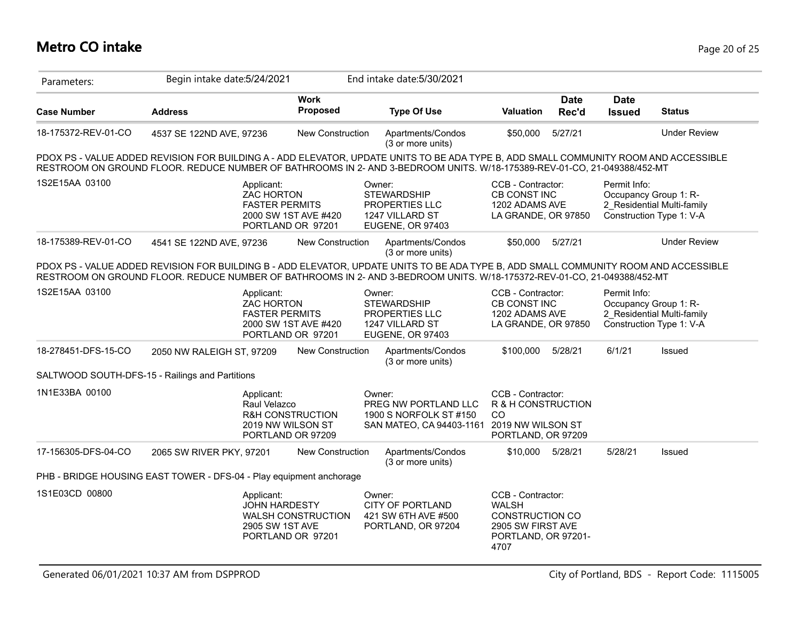| Parameters:         | Begin intake date: 5/24/2021                                        |                                                                                                         | End intake date: 5/30/2021                                                                                                                                                                                                                                      |                                                                                                                 |                      |                              |                                                                                 |
|---------------------|---------------------------------------------------------------------|---------------------------------------------------------------------------------------------------------|-----------------------------------------------------------------------------------------------------------------------------------------------------------------------------------------------------------------------------------------------------------------|-----------------------------------------------------------------------------------------------------------------|----------------------|------------------------------|---------------------------------------------------------------------------------|
| <b>Case Number</b>  | <b>Address</b>                                                      | <b>Work</b><br><b>Proposed</b>                                                                          | <b>Type Of Use</b>                                                                                                                                                                                                                                              | <b>Valuation</b>                                                                                                | <b>Date</b><br>Rec'd | <b>Date</b><br><b>Issued</b> | <b>Status</b>                                                                   |
| 18-175372-REV-01-CO | 4537 SE 122ND AVE, 97236                                            | New Construction                                                                                        | Apartments/Condos<br>(3 or more units)                                                                                                                                                                                                                          | \$50,000                                                                                                        | 5/27/21              |                              | <b>Under Review</b>                                                             |
|                     |                                                                     |                                                                                                         | PDOX PS - VALUE ADDED REVISION FOR BUILDING A - ADD ELEVATOR, UPDATE UNITS TO BE ADA TYPE B, ADD SMALL COMMUNITY ROOM AND ACCESSIBLE<br>RESTROOM ON GROUND FLOOR. REDUCE NUMBER OF BATHROOMS IN 2- AND 3-BEDROOM UNITS. W/18-175389-REV-01-CO, 21-049388/452-MT |                                                                                                                 |                      |                              |                                                                                 |
| 1S2E15AA 03100      |                                                                     | Applicant:<br><b>ZAC HORTON</b><br><b>FASTER PERMITS</b><br>2000 SW 1ST AVE #420<br>PORTLAND OR 97201   | Owner:<br><b>STEWARDSHIP</b><br>PROPERTIES LLC<br>1247 VILLARD ST<br>EUGENE, OR 97403                                                                                                                                                                           | CCB - Contractor:<br>CB CONST INC<br>1202 ADAMS AVE<br>LA GRANDE, OR 97850                                      |                      | Permit Info:                 | Occupancy Group 1: R-<br>2 Residential Multi-family<br>Construction Type 1: V-A |
| 18-175389-REV-01-CO | 4541 SE 122ND AVE, 97236                                            | <b>New Construction</b>                                                                                 | Apartments/Condos<br>(3 or more units)                                                                                                                                                                                                                          | \$50,000                                                                                                        | 5/27/21              |                              | <b>Under Review</b>                                                             |
|                     |                                                                     |                                                                                                         | PDOX PS - VALUE ADDED REVISION FOR BUILDING B - ADD ELEVATOR, UPDATE UNITS TO BE ADA TYPE B, ADD SMALL COMMUNITY ROOM AND ACCESSIBLE<br>RESTROOM ON GROUND FLOOR. REDUCE NUMBER OF BATHROOMS IN 2- AND 3-BEDROOM UNITS. W/18-175372-REV-01-CO, 21-049388/452-MT |                                                                                                                 |                      |                              |                                                                                 |
| 1S2E15AA 03100      |                                                                     | Applicant:<br><b>ZAC HORTON</b><br><b>FASTER PERMITS</b><br>2000 SW 1ST AVE #420<br>PORTLAND OR 97201   | Owner:<br><b>STEWARDSHIP</b><br>PROPERTIES LLC<br>1247 VILLARD ST<br>EUGENE, OR 97403                                                                                                                                                                           | CCB - Contractor:<br>CB CONST INC<br>1202 ADAMS AVE<br>LA GRANDE, OR 97850                                      |                      | Permit Info:                 | Occupancy Group 1: R-<br>2 Residential Multi-family<br>Construction Type 1: V-A |
| 18-278451-DFS-15-CO | 2050 NW RALEIGH ST, 97209                                           | <b>New Construction</b>                                                                                 | Apartments/Condos<br>(3 or more units)                                                                                                                                                                                                                          | \$100,000                                                                                                       | 5/28/21              | 6/1/21                       | Issued                                                                          |
|                     | SALTWOOD SOUTH-DFS-15 - Railings and Partitions                     |                                                                                                         |                                                                                                                                                                                                                                                                 |                                                                                                                 |                      |                              |                                                                                 |
| 1N1E33BA 00100      |                                                                     | Applicant:<br>Raul Velazco<br><b>R&amp;H CONSTRUCTION</b><br>2019 NW WILSON ST<br>PORTLAND OR 97209     | Owner:<br>PREG NW PORTLAND LLC<br>1900 S NORFOLK ST #150<br>SAN MATEO, CA 94403-1161                                                                                                                                                                            | CCB - Contractor:<br>R & H CONSTRUCTION<br>CO<br>2019 NW WILSON ST<br>PORTLAND, OR 97209                        |                      |                              |                                                                                 |
| 17-156305-DFS-04-CO | 2065 SW RIVER PKY, 97201                                            | New Construction                                                                                        | Apartments/Condos<br>(3 or more units)                                                                                                                                                                                                                          | \$10,000 5/28/21                                                                                                |                      | 5/28/21                      | Issued                                                                          |
|                     | PHB - BRIDGE HOUSING EAST TOWER - DFS-04 - Play equipment anchorage |                                                                                                         |                                                                                                                                                                                                                                                                 |                                                                                                                 |                      |                              |                                                                                 |
| 1S1E03CD 00800      |                                                                     | Applicant:<br><b>JOHN HARDESTY</b><br><b>WALSH CONSTRUCTION</b><br>2905 SW 1ST AVE<br>PORTLAND OR 97201 | Owner:<br><b>CITY OF PORTLAND</b><br>421 SW 6TH AVE #500<br>PORTLAND, OR 97204                                                                                                                                                                                  | CCB - Contractor:<br><b>WALSH</b><br><b>CONSTRUCTION CO</b><br>2905 SW FIRST AVE<br>PORTLAND, OR 97201-<br>4707 |                      |                              |                                                                                 |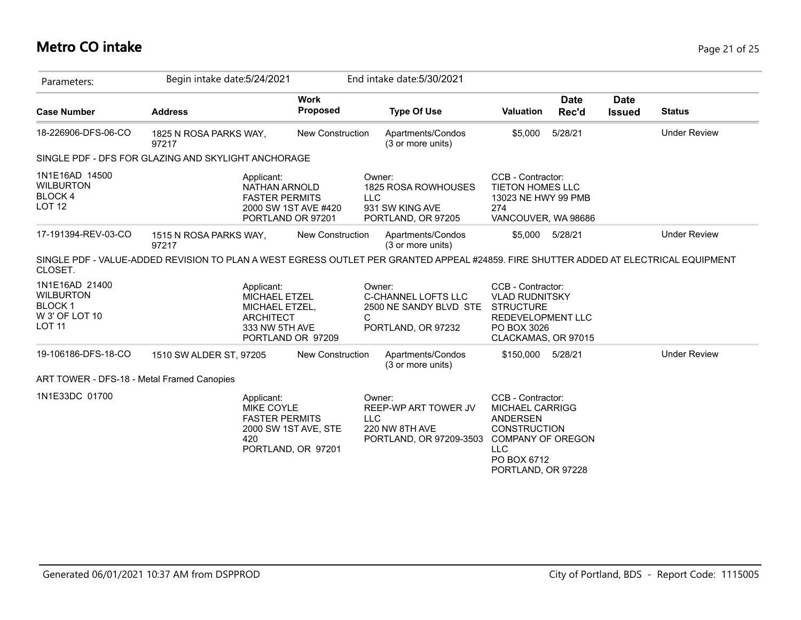## **Metro CO intake** Page 21 of 25

| Parameters:                                                                            | Begin intake date: 5/24/2021                                                                                                         |                                            | End intake date: 5/30/2021                                                                |                                                                                                                                                               |                      |                              |                     |
|----------------------------------------------------------------------------------------|--------------------------------------------------------------------------------------------------------------------------------------|--------------------------------------------|-------------------------------------------------------------------------------------------|---------------------------------------------------------------------------------------------------------------------------------------------------------------|----------------------|------------------------------|---------------------|
| <b>Case Number</b>                                                                     | <b>Address</b>                                                                                                                       | <b>Work</b><br>Proposed                    | <b>Type Of Use</b>                                                                        | <b>Valuation</b>                                                                                                                                              | <b>Date</b><br>Rec'd | <b>Date</b><br><b>Issued</b> | <b>Status</b>       |
| 18-226906-DFS-06-CO                                                                    | 1825 N ROSA PARKS WAY,<br>97217                                                                                                      | <b>New Construction</b>                    | Apartments/Condos<br>(3 or more units)                                                    | \$5,000                                                                                                                                                       | 5/28/21              |                              | <b>Under Review</b> |
|                                                                                        | SINGLE PDF - DFS FOR GLAZING AND SKYLIGHT ANCHORAGE                                                                                  |                                            |                                                                                           |                                                                                                                                                               |                      |                              |                     |
| 1N1E16AD 14500<br><b>WILBURTON</b><br><b>BLOCK4</b><br><b>LOT 12</b>                   | Applicant:<br>NATHAN ARNOLD<br><b>FASTER PERMITS</b><br>PORTLAND OR 97201                                                            | 2000 SW 1ST AVE #420                       | Owner:<br>1825 ROSA ROWHOUSES<br><b>LLC</b><br>931 SW KING AVE<br>PORTLAND, OR 97205      | CCB - Contractor:<br><b>TIETON HOMES LLC</b><br>13023 NE HWY 99 PMB<br>274<br>VANCOUVER, WA 98686                                                             |                      |                              |                     |
| 17-191394-REV-03-CO                                                                    | 1515 N ROSA PARKS WAY,<br>97217                                                                                                      | <b>New Construction</b>                    | Apartments/Condos<br>(3 or more units)                                                    | \$5,000                                                                                                                                                       | 5/28/21              |                              | <b>Under Review</b> |
| CLOSET.                                                                                | SINGLE PDF - VALUE-ADDED REVISION TO PLAN A WEST EGRESS OUTLET PER GRANTED APPEAL #24859. FIRE SHUTTER ADDED AT ELECTRICAL EQUIPMENT |                                            |                                                                                           |                                                                                                                                                               |                      |                              |                     |
| 1N1E16AD 21400<br><b>WILBURTON</b><br><b>BLOCK1</b><br>W 3' OF LOT 10<br><b>LOT 11</b> | Applicant:<br>MICHAEL ETZEL<br>MICHAEL ETZEL,<br><b>ARCHITECT</b><br>333 NW 5TH AVE<br>PORTLAND OR 97209                             | C                                          | Owner:<br>C-CHANNEL LOFTS LLC<br>2500 NE SANDY BLVD STE<br>PORTLAND, OR 97232             | CCB - Contractor:<br><b>VLAD RUDNITSKY</b><br><b>STRUCTURE</b><br>REDEVELOPMENT LLC<br>PO BOX 3026<br>CLACKAMAS, OR 97015                                     |                      |                              |                     |
| 19-106186-DFS-18-CO                                                                    | 1510 SW ALDER ST, 97205                                                                                                              | <b>New Construction</b>                    | Apartments/Condos<br>(3 or more units)                                                    | \$150,000                                                                                                                                                     | 5/28/21              |                              | <b>Under Review</b> |
| ART TOWER - DFS-18 - Metal Framed Canopies                                             |                                                                                                                                      |                                            |                                                                                           |                                                                                                                                                               |                      |                              |                     |
| 1N1E33DC 01700                                                                         | Applicant:<br>MIKE COYLE<br><b>FASTER PERMITS</b><br>420                                                                             | 2000 SW 1ST AVE, STE<br>PORTLAND, OR 97201 | Owner:<br>REEP-WP ART TOWER JV<br><b>LLC</b><br>220 NW 8TH AVE<br>PORTLAND, OR 97209-3503 | CCB - Contractor:<br><b>MICHAEL CARRIGG</b><br>ANDERSEN<br><b>CONSTRUCTION</b><br><b>COMPANY OF OREGON</b><br><b>LLC</b><br>PO BOX 6712<br>PORTLAND, OR 97228 |                      |                              |                     |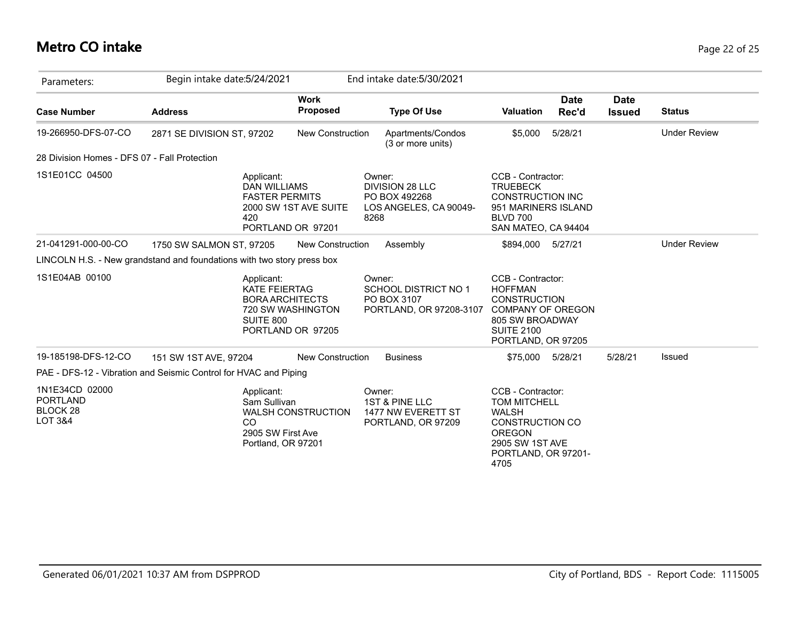## **Metro CO intake** Page 22 of 25

| Parameters:                                                                | Begin intake date: 5/24/2021                                           |                                                                      | End intake date: 5/30/2021                                                      |                                                                                                                                                       |                              |                     |
|----------------------------------------------------------------------------|------------------------------------------------------------------------|----------------------------------------------------------------------|---------------------------------------------------------------------------------|-------------------------------------------------------------------------------------------------------------------------------------------------------|------------------------------|---------------------|
| <b>Case Number</b>                                                         | <b>Address</b>                                                         | <b>Work</b><br>Proposed                                              | <b>Type Of Use</b>                                                              | <b>Date</b><br><b>Valuation</b><br>Rec'd                                                                                                              | <b>Date</b><br><b>Issued</b> | <b>Status</b>       |
| 19-266950-DFS-07-CO                                                        | 2871 SE DIVISION ST, 97202                                             | <b>New Construction</b>                                              | Apartments/Condos<br>(3 or more units)                                          | 5/28/21<br>\$5,000                                                                                                                                    |                              | <b>Under Review</b> |
| 28 Division Homes - DFS 07 - Fall Protection                               |                                                                        |                                                                      |                                                                                 |                                                                                                                                                       |                              |                     |
| 1S1E01CC 04500                                                             | Applicant:<br><b>DAN WILLIAMS</b><br>420                               | <b>FASTER PERMITS</b><br>2000 SW 1ST AVE SUITE<br>PORTLAND OR 97201  | Owner:<br>DIVISION 28 LLC<br>PO BOX 492268<br>LOS ANGELES, CA 90049-<br>8268    | CCB - Contractor:<br><b>TRUEBECK</b><br><b>CONSTRUCTION INC</b><br>951 MARINERS ISLAND<br><b>BLVD 700</b><br>SAN MATEO, CA 94404                      |                              |                     |
| 21-041291-000-00-CO                                                        | 1750 SW SALMON ST, 97205                                               | <b>New Construction</b>                                              | Assembly                                                                        | 5/27/21<br>\$894,000                                                                                                                                  |                              | <b>Under Review</b> |
|                                                                            | LINCOLN H.S. - New grandstand and foundations with two story press box |                                                                      |                                                                                 |                                                                                                                                                       |                              |                     |
| 1S1E04AB 00100                                                             | Applicant:<br><b>KATE FEIERTAG</b><br>SUITE 800                        | <b>BORA ARCHITECTS</b><br>720 SW WASHINGTON<br>PORTLAND OR 97205     | Owner:<br><b>SCHOOL DISTRICT NO 1</b><br>PO BOX 3107<br>PORTLAND, OR 97208-3107 | CCB - Contractor:<br><b>HOFFMAN</b><br><b>CONSTRUCTION</b><br><b>COMPANY OF OREGON</b><br>805 SW BROADWAY<br><b>SUITE 2100</b><br>PORTLAND, OR 97205  |                              |                     |
| 19-185198-DFS-12-CO                                                        | 151 SW 1ST AVE, 97204                                                  | <b>New Construction</b>                                              | <b>Business</b>                                                                 | \$75,000<br>5/28/21                                                                                                                                   | 5/28/21                      | Issued              |
|                                                                            | PAE - DFS-12 - Vibration and Seismic Control for HVAC and Piping       |                                                                      |                                                                                 |                                                                                                                                                       |                              |                     |
| 1N1E34CD 02000<br><b>PORTLAND</b><br><b>BLOCK 28</b><br><b>LOT 3&amp;4</b> | Applicant:<br>Sam Sullivan<br><b>CO</b>                                | <b>WALSH CONSTRUCTION</b><br>2905 SW First Ave<br>Portland, OR 97201 | Owner:<br><b>1ST &amp; PINE LLC</b><br>1477 NW EVERETT ST<br>PORTLAND, OR 97209 | CCB - Contractor:<br><b>TOM MITCHELL</b><br><b>WALSH</b><br><b>CONSTRUCTION CO</b><br><b>OREGON</b><br>2905 SW 1ST AVE<br>PORTLAND, OR 97201-<br>4705 |                              |                     |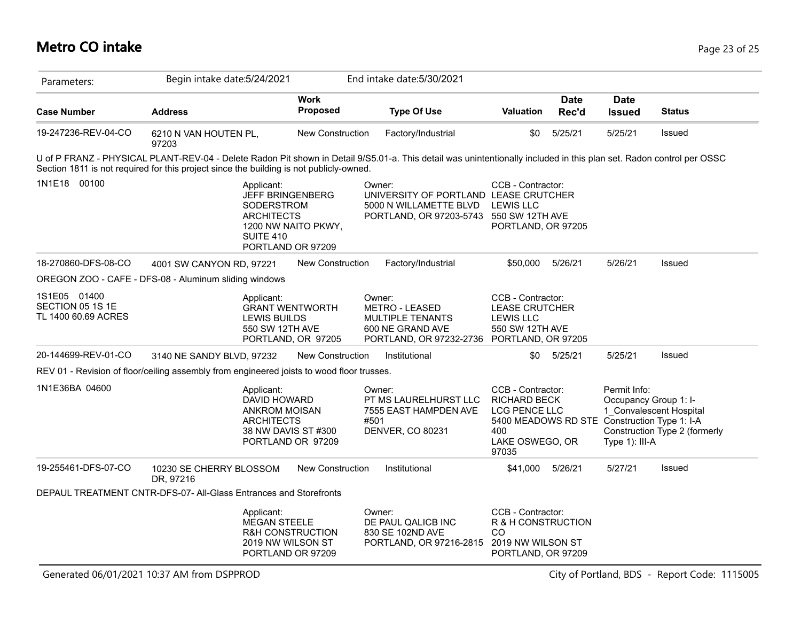## **Metro CO intake** Page 23 of 25

| Parameters:                                             | Begin intake date: 5/24/2021                                                                                                                                                                                                                                    |                                | End intake date: 5/30/2021                                                                                           |                                                                                                                                              |                      |                                                                                    |                               |
|---------------------------------------------------------|-----------------------------------------------------------------------------------------------------------------------------------------------------------------------------------------------------------------------------------------------------------------|--------------------------------|----------------------------------------------------------------------------------------------------------------------|----------------------------------------------------------------------------------------------------------------------------------------------|----------------------|------------------------------------------------------------------------------------|-------------------------------|
| <b>Case Number</b>                                      | <b>Address</b>                                                                                                                                                                                                                                                  | <b>Work</b><br><b>Proposed</b> | <b>Type Of Use</b>                                                                                                   | <b>Valuation</b>                                                                                                                             | <b>Date</b><br>Rec'd | <b>Date</b><br><b>Issued</b>                                                       | <b>Status</b>                 |
| 19-247236-REV-04-CO                                     | 6210 N VAN HOUTEN PL,<br>97203                                                                                                                                                                                                                                  | <b>New Construction</b>        | Factory/Industrial                                                                                                   | \$0                                                                                                                                          | 5/25/21              | 5/25/21                                                                            | Issued                        |
|                                                         | U of P FRANZ - PHYSICAL PLANT-REV-04 - Delete Radon Pit shown in Detail 9/S5.01-a. This detail was unintentionally included in this plan set. Radon control per OSSC<br>Section 1811 is not required for this project since the building is not publicly-owned. |                                |                                                                                                                      |                                                                                                                                              |                      |                                                                                    |                               |
| 1N1E18 00100                                            | Applicant:<br><b>JEFF BRINGENBERG</b><br><b>SODERSTROM</b><br><b>ARCHITECTS</b><br><b>SUITE 410</b><br>PORTLAND OR 97209                                                                                                                                        | 1200 NW NAITO PKWY,            | Owner:<br>UNIVERSITY OF PORTLAND LEASE CRUTCHER<br>5000 N WILLAMETTE BLVD<br>PORTLAND, OR 97203-5743 550 SW 12TH AVE | CCB - Contractor:<br><b>LEWIS LLC</b><br>PORTLAND, OR 97205                                                                                  |                      |                                                                                    |                               |
| 18-270860-DFS-08-CO                                     | 4001 SW CANYON RD, 97221                                                                                                                                                                                                                                        | New Construction               | Factory/Industrial                                                                                                   | \$50,000                                                                                                                                     | 5/26/21              | 5/26/21                                                                            | Issued                        |
|                                                         | OREGON ZOO - CAFE - DFS-08 - Aluminum sliding windows                                                                                                                                                                                                           |                                |                                                                                                                      |                                                                                                                                              |                      |                                                                                    |                               |
| 1S1E05 01400<br>SECTION 05 1S 1E<br>TL 1400 60.69 ACRES | Applicant:<br><b>GRANT WENTWORTH</b><br>LEWIS BUILDS<br>550 SW 12TH AVE                                                                                                                                                                                         | PORTLAND, OR 97205             | Owner:<br><b>METRO - LEASED</b><br><b>MULTIPLE TENANTS</b><br>600 NE GRAND AVE<br>PORTLAND, OR 97232-2736            | CCB - Contractor:<br><b>LEASE CRUTCHER</b><br><b>LEWIS LLC</b><br>550 SW 12TH AVE<br>PORTLAND, OR 97205                                      |                      |                                                                                    |                               |
| 20-144699-REV-01-CO                                     | 3140 NE SANDY BLVD, 97232                                                                                                                                                                                                                                       | New Construction               | Institutional                                                                                                        |                                                                                                                                              | \$0 5/25/21          | 5/25/21                                                                            | Issued                        |
|                                                         | REV 01 - Revision of floor/ceiling assembly from engineered joists to wood floor trusses.                                                                                                                                                                       |                                |                                                                                                                      |                                                                                                                                              |                      |                                                                                    |                               |
| 1N1E36BA 04600                                          | Applicant:<br>DAVID HOWARD<br><b>ANKROM MOISAN</b><br><b>ARCHITECTS</b><br>38 NW DAVIS ST #300<br>PORTLAND OR 97209                                                                                                                                             |                                | Owner:<br>PT MS LAURELHURST LLC<br>7555 EAST HAMPDEN AVE<br>#501<br><b>DENVER, CO 80231</b>                          | CCB - Contractor:<br><b>RICHARD BECK</b><br>LCG PENCE LLC<br>5400 MEADOWS RD STE Construction Type 1: I-A<br>400<br>LAKE OSWEGO, OR<br>97035 |                      | Permit Info:<br>Occupancy Group 1: I-<br>1 Convalescent Hospital<br>Type 1): III-A | Construction Type 2 (formerly |
| 19-255461-DFS-07-CO                                     | 10230 SE CHERRY BLOSSOM<br>DR, 97216                                                                                                                                                                                                                            | <b>New Construction</b>        | Institutional                                                                                                        | \$41,000                                                                                                                                     | 5/26/21              | 5/27/21                                                                            | Issued                        |
|                                                         | DEPAUL TREATMENT CNTR-DFS-07- All-Glass Entrances and Storefronts                                                                                                                                                                                               |                                |                                                                                                                      |                                                                                                                                              |                      |                                                                                    |                               |
|                                                         | Applicant:<br><b>MEGAN STEELE</b><br>R&H CONSTRUCTION<br>2019 NW WILSON ST<br>PORTLAND OR 97209                                                                                                                                                                 |                                | Owner:<br>DE PAUL QALICB INC<br>830 SE 102ND AVE<br>PORTLAND, OR 97216-2815                                          | CCB - Contractor:<br>R & H CONSTRUCTION<br>CO<br>2019 NW WILSON ST<br>PORTLAND, OR 97209                                                     |                      |                                                                                    |                               |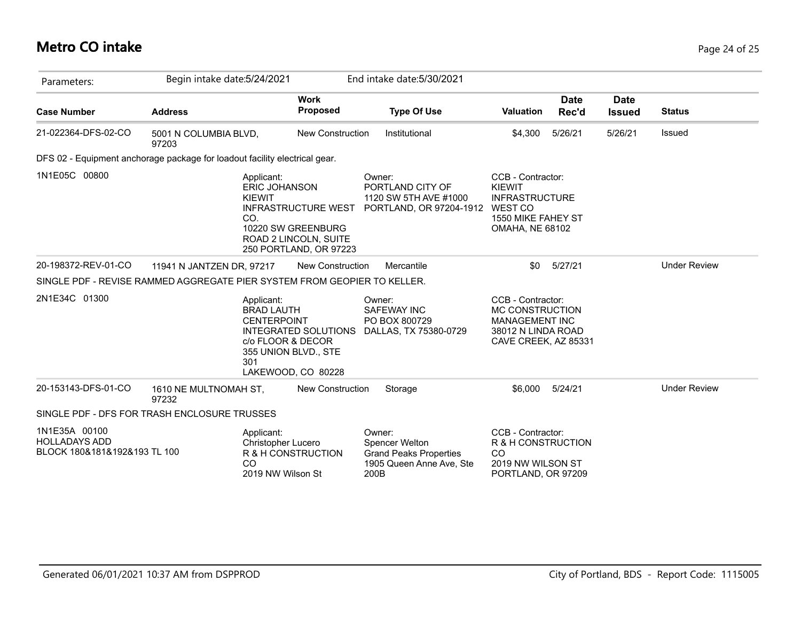## **Metro CO intake** Page 24 of 25

| Parameters:                                                           | Begin intake date: 5/24/2021                                               |                                                                                                     | End intake date: 5/30/2021                                                                           |                                                                                                                        |                      |                              |                     |
|-----------------------------------------------------------------------|----------------------------------------------------------------------------|-----------------------------------------------------------------------------------------------------|------------------------------------------------------------------------------------------------------|------------------------------------------------------------------------------------------------------------------------|----------------------|------------------------------|---------------------|
| <b>Case Number</b>                                                    | <b>Address</b>                                                             | <b>Work</b><br><b>Proposed</b>                                                                      | <b>Type Of Use</b>                                                                                   | <b>Valuation</b>                                                                                                       | <b>Date</b><br>Rec'd | <b>Date</b><br><b>Issued</b> | <b>Status</b>       |
| 21-022364-DFS-02-CO                                                   | 5001 N COLUMBIA BLVD,<br>97203                                             | <b>New Construction</b>                                                                             | Institutional                                                                                        | \$4,300                                                                                                                | 5/26/21              | 5/26/21                      | <b>Issued</b>       |
|                                                                       | DFS 02 - Equipment anchorage package for loadout facility electrical gear. |                                                                                                     |                                                                                                      |                                                                                                                        |                      |                              |                     |
| 1N1E05C 00800                                                         | Applicant:<br><b>ERIC JOHANSON</b><br><b>KIEWIT</b><br>CO.                 | <b>INFRASTRUCTURE WEST</b><br>10220 SW GREENBURG<br>ROAD 2 LINCOLN, SUITE<br>250 PORTLAND, OR 97223 | Owner:<br>PORTLAND CITY OF<br>1120 SW 5TH AVE #1000<br>PORTLAND, OR 97204-1912                       | CCB - Contractor:<br><b>KIEWIT</b><br><b>INFRASTRUCTURE</b><br>WEST CO<br>1550 MIKE FAHEY ST<br><b>OMAHA, NE 68102</b> |                      |                              |                     |
| 20-198372-REV-01-CO                                                   | 11941 N JANTZEN DR, 97217                                                  | <b>New Construction</b>                                                                             | Mercantile                                                                                           | \$0                                                                                                                    | 5/27/21              |                              | <b>Under Review</b> |
|                                                                       | SINGLE PDF - REVISE RAMMED AGGREGATE PIER SYSTEM FROM GEOPIER TO KELLER.   |                                                                                                     |                                                                                                      |                                                                                                                        |                      |                              |                     |
| 2N1E34C 01300                                                         | Applicant:<br><b>BRAD LAUTH</b><br><b>CENTERPOINT</b><br>301               | <b>INTEGRATED SOLUTIONS</b><br>c/o FLOOR & DECOR<br>355 UNION BLVD., STE<br>LAKEWOOD, CO 80228      | Owner:<br><b>SAFEWAY INC</b><br>PO BOX 800729<br>DALLAS, TX 75380-0729                               | CCB - Contractor:<br>MC CONSTRUCTION<br><b>MANAGEMENT INC</b><br>38012 N LINDA ROAD<br>CAVE CREEK, AZ 85331            |                      |                              |                     |
| 20-153143-DFS-01-CO                                                   | 1610 NE MULTNOMAH ST,<br>97232                                             | <b>New Construction</b>                                                                             | Storage                                                                                              | \$6,000                                                                                                                | 5/24/21              |                              | <b>Under Review</b> |
|                                                                       | SINGLE PDF - DFS FOR TRASH ENCLOSURE TRUSSES                               |                                                                                                     |                                                                                                      |                                                                                                                        |                      |                              |                     |
| 1N1E35A 00100<br><b>HOLLADAYS ADD</b><br>BLOCK 180&181&192&193 TL 100 | Applicant:<br>Christopher Lucero<br>CO<br>2019 NW Wilson St                | R & H CONSTRUCTION                                                                                  | Owner:<br><b>Spencer Welton</b><br><b>Grand Peaks Properties</b><br>1905 Queen Anne Ave, Ste<br>200B | CCB - Contractor:<br>R & H CONSTRUCTION<br><b>CO</b><br>2019 NW WILSON ST<br>PORTLAND, OR 97209                        |                      |                              |                     |